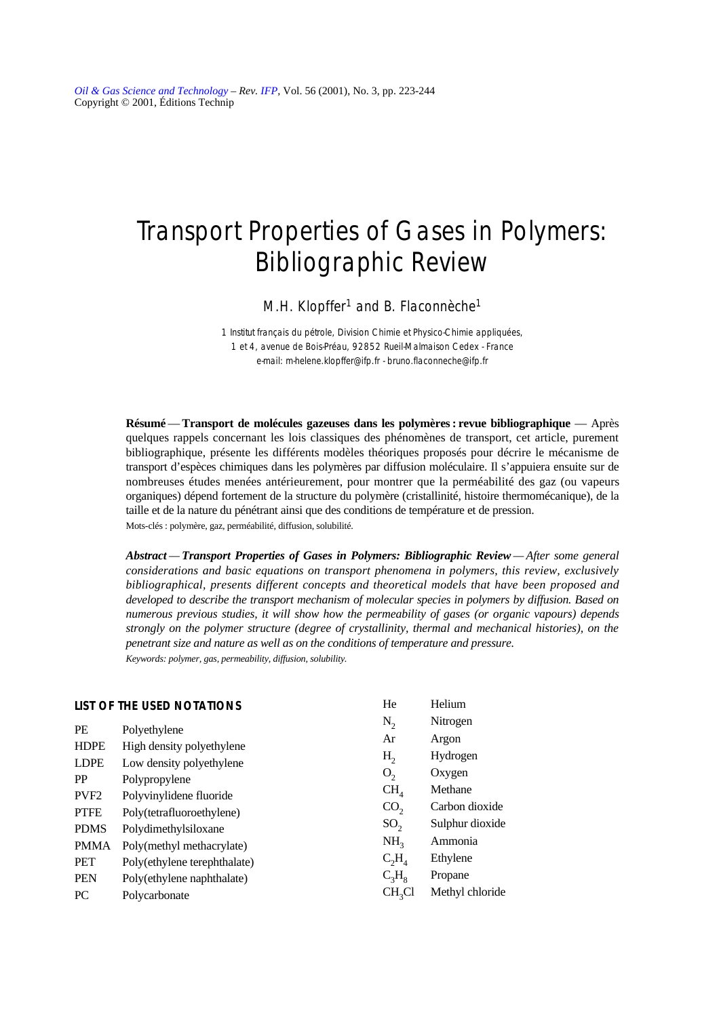*[Oil & Gas Science and Technology](http://ogst.ifp.fr/) – Rev. [IFP,](http://www.ifp.fr/)* Vol. 56 (2001), No. 3, pp. 223-244 Copyright © 2001, Éditions Technip

# Transport Properties of Gases in Polymers: Bibliographic Review

M.H. Klopffer<sup>1</sup> and B. Flaconnèche<sup>1</sup>

*1 Institut français du pétrole, Division Chimie et Physico-Chimie appliquées, 1 et 4, avenue de Bois-Préau, 92852 Rueil-Malmaison Cedex - France e-mail: m-helene.klopffer@ifp.fr - bruno.flaconneche@ifp.fr*

**Résumé** — **Transport de molécules gazeuses dans les polymères : revue bibliographique** — Après quelques rappels concernant les lois classiques des phénomènes de transport, cet article, purement bibliographique, présente les différents modèles théoriques proposés pour décrire le mécanisme de transport d'espèces chimiques dans les polymères par diffusion moléculaire. Il s'appuiera ensuite sur de nombreuses études menées antérieurement, pour montrer que la perméabilité des gaz (ou vapeurs organiques) dépend fortement de la structure du polymère (cristallinité, histoire thermomécanique), de la taille et de la nature du pénétrant ainsi que des conditions de température et de pression. Mots-clés : polymère, gaz, perméabilité, diffusion, solubilité.

*Abstract — Transport Properties of Gases in Polymers: Bibliographic Review — After some general considerations and basic equations on transport phenomena in polymers, this review, exclusively bibliographical, presents different concepts and theoretical models that have been proposed and developed to describe the transport mechanism of molecular species in polymers by diffusion. Based on numerous previous studies, it will show how the permeability of gases (or organic vapours) depends strongly on the polymer structure (degree of crystallinity, thermal and mechanical histories), on the penetrant size and nature as well as on the conditions of temperature and pressure.* 

He Helium

*Keywords: polymer, gas, permeability, diffusion, solubility.*

# **LIST OF THE USED NOTATIONS**

|                  |                              | $N_{2}$            | Nitrogen        |
|------------------|------------------------------|--------------------|-----------------|
| PE               | Polyethylene                 | Ar                 | Argon           |
| <b>HDPE</b>      | High density polyethylene    | $H_{2}$            | Hydrogen        |
| <b>LDPE</b>      | Low density polyethylene     |                    |                 |
| <b>PP</b>        | Polypropylene                | O <sub>2</sub>     | Oxygen          |
| PVF <sub>2</sub> | Polyvinylidene fluoride      | CH <sub>4</sub>    | Methane         |
| <b>PTFE</b>      | Poly(tetrafluoroethylene)    | CO <sub>2</sub>    | Carbon dioxide  |
| <b>PDMS</b>      | Polydimethylsiloxane         | SO <sub>2</sub>    | Sulphur dioxide |
| <b>PMMA</b>      | Poly(methyl methacrylate)    | NH <sub>3</sub>    | Ammonia         |
| <b>PET</b>       | Poly(ethylene terephthalate) | $C_2H_4$           | Ethylene        |
| <b>PEN</b>       | Poly(ethylene naphthalate)   | $C_3H_8$           | Propane         |
| PC               | Polycarbonate                | CH <sub>3</sub> Cl | Methyl chloride |
|                  |                              |                    |                 |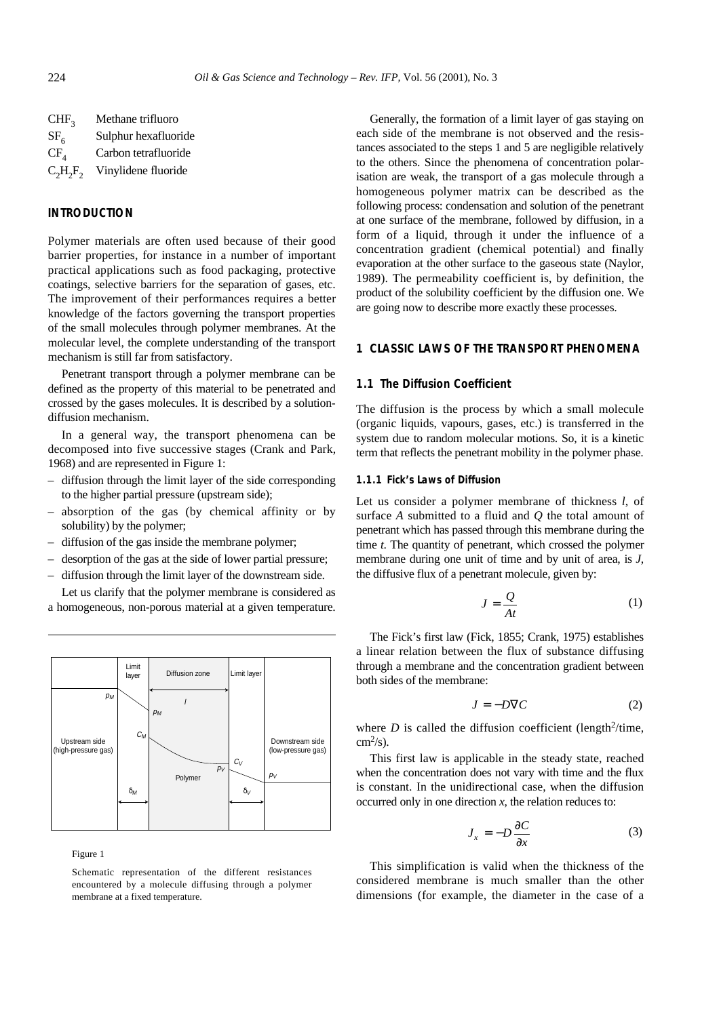| CHF <sub>3</sub> | Methane trifluoro    |
|------------------|----------------------|
| $SF_{6}$         | Sulphur hexafluoride |
| $CF_{A}$         | Carbon tetrafluoride |
| $C_2H_2F_2$      | Vinylidene fluoride  |

## **INTRODUCTION**

Polymer materials are often used because of their good barrier properties, for instance in a number of important practical applications such as food packaging, protective coatings, selective barriers for the separation of gases, etc. The improvement of their performances requires a better knowledge of the factors governing the transport properties of the small molecules through polymer membranes. At the molecular level, the complete understanding of the transport mechanism is still far from satisfactory.

Penetrant transport through a polymer membrane can be defined as the property of this material to be penetrated and crossed by the gases molecules. It is described by a solutiondiffusion mechanism.

In a general way, the transport phenomena can be decomposed into five successive stages (Crank and Park, 1968) and are represented in Figure 1:

- diffusion through the limit layer of the side corresponding to the higher partial pressure (upstream side);
- absorption of the gas (by chemical affinity or by solubility) by the polymer;
- diffusion of the gas inside the membrane polymer;
- desorption of the gas at the side of lower partial pressure;
- diffusion through the limit layer of the downstream side.

Let us clarify that the polymer membrane is considered as a homogeneous, non-porous material at a given temperature.



#### Figure 1

Schematic representation of the different resistances encountered by a molecule diffusing through a polymer membrane at a fixed temperature.

Generally, the formation of a limit layer of gas staying on each side of the membrane is not observed and the resistances associated to the steps 1 and 5 are negligible relatively to the others. Since the phenomena of concentration polarisation are weak, the transport of a gas molecule through a homogeneous polymer matrix can be described as the following process: condensation and solution of the penetrant at one surface of the membrane, followed by diffusion, in a form of a liquid, through it under the influence of a concentration gradient (chemical potential) and finally evaporation at the other surface to the gaseous state (Naylor, 1989). The permeability coefficient is, by definition, the product of the solubility coefficient by the diffusion one. We are going now to describe more exactly these processes.

# **1 CLASSIC LAWS OF THE TRANSPORT PHENOMENA**

## **1.1 The Diffusion Coefficient**

The diffusion is the process by which a small molecule (organic liquids, vapours, gases, etc.) is transferred in the system due to random molecular motions. So, it is a kinetic term that reflects the penetrant mobility in the polymer phase.

#### **1.1.1 Fick's Laws of Diffusion**

Let us consider a polymer membrane of thickness *l*, of surface *A* submitted to a fluid and *Q* the total amount of penetrant which has passed through this membrane during the time *t*. The quantity of penetrant, which crossed the polymer membrane during one unit of time and by unit of area, is *J*, the diffusive flux of a penetrant molecule, given by:

$$
J = \frac{Q}{At}
$$
 (1)

The Fick's first law (Fick, 1855; Crank, 1975) establishes a linear relation between the flux of substance diffusing through a membrane and the concentration gradient between both sides of the membrane:

$$
J = -D\nabla C \tag{2}
$$

where  $D$  is called the diffusion coefficient (length<sup>2</sup>/time,  $cm<sup>2</sup>/s$ ).

This first law is applicable in the steady state, reached when the concentration does not vary with time and the flux is constant. In the unidirectional case, when the diffusion occurred only in one direction *x*, the relation reduces to:

$$
J_x = -D \frac{\partial C}{\partial x} \tag{3}
$$

This simplification is valid when the thickness of the considered membrane is much smaller than the other dimensions (for example, the diameter in the case of a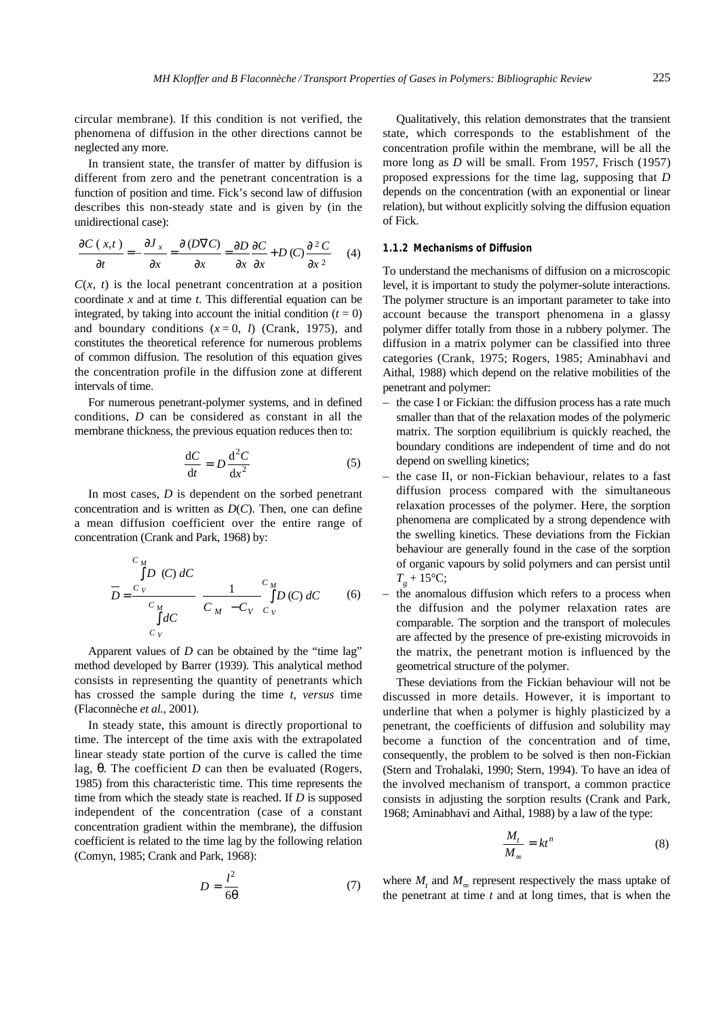circular membrane). If this condition is not verified, the phenomena of diffusion in the other directions cannot be neglected any more.

In transient state, the transfer of matter by diffusion is different from zero and the penetrant concentration is a function of position and time. Fick's second law of diffusion describes this non-steady state and is given by (in the unidirectional case):

$$
\frac{\partial C(x,t)}{\partial t} = -\frac{\partial J_x}{\partial x} = \frac{\partial (D\nabla C)}{\partial x} = \frac{\partial D}{\partial x} \frac{\partial C}{\partial x} + D(C) \frac{\partial^2 C}{\partial x^2} \tag{4}
$$

 $C(x, t)$  is the local penetrant concentration at a position coordinate  $x$  and at time  $t$ . This differential equation can be integrated, by taking into account the initial condition  $(t = 0)$ and boundary conditions  $(x=0, l)$  (Crank, 1975), and constitutes the theoretical reference for numerous problems of common diffusion. The resolution of this equation gives the concentration profile in the diffusion zone at different intervals of time.

For numerous penetrant-polymer systems, and in defined conditions, *D* can be considered as constant in all the membrane thickness, the previous equation reduces then to:

$$
\frac{\mathrm{d}C}{\mathrm{d}t} = D \frac{\mathrm{d}^2 C}{\mathrm{d}x^2} \tag{5}
$$

In most cases, *D* is dependent on the sorbed penetrant concentration and is written as *D*(*C*). Then, one can define a mean diffusion coefficient over the entire range of concentration (Crank and Park, 1968) by:

$$
\overline{D} = \frac{\int_{C_V}^{C_M} D(C) dC}{\int_{C_V}^{C_M} \frac{1}{C_M - C_V} \int_{C_V}^{C_M} D(C) dC}
$$
 (6)

Apparent values of *D* can be obtained by the "time lag" method developed by Barrer (1939). This analytical method consists in representing the quantity of penetrants which has crossed the sample during the time *t*, *versus* time (Flaconnèche *et al.*, 2001).

In steady state, this amount is directly proportional to time. The intercept of the time axis with the extrapolated linear steady state portion of the curve is called the time lag, θ. The coefficient *D* can then be evaluated (Rogers, 1985) from this characteristic time. This time represents the time from which the steady state is reached. If *D* is supposed independent of the concentration (case of a constant concentration gradient within the membrane), the diffusion coefficient is related to the time lag by the following relation (Comyn, 1985; Crank and Park, 1968):

$$
D = \frac{l^2}{6\theta} \tag{7}
$$

Qualitatively, this relation demonstrates that the transient state, which corresponds to the establishment of the concentration profile within the membrane, will be all the more long as *D* will be small. From 1957, Frisch (1957) proposed expressions for the time lag, supposing that *D* depends on the concentration (with an exponential or linear relation), but without explicitly solving the diffusion equation of Fick.

## **1.1.2 Mechanisms of Diffusion**

To understand the mechanisms of diffusion on a microscopic level, it is important to study the polymer-solute interactions. The polymer structure is an important parameter to take into account because the transport phenomena in a glassy polymer differ totally from those in a rubbery polymer. The diffusion in a matrix polymer can be classified into three categories (Crank, 1975; Rogers, 1985; Aminabhavi and Aithal, 1988) which depend on the relative mobilities of the penetrant and polymer:

- the case I or Fickian: the diffusion process has a rate much smaller than that of the relaxation modes of the polymeric matrix. The sorption equilibrium is quickly reached, the boundary conditions are independent of time and do not depend on swelling kinetics;
- the case II, or non-Fickian behaviour, relates to a fast diffusion process compared with the simultaneous relaxation processes of the polymer. Here, the sorption phenomena are complicated by a strong dependence with the swelling kinetics. These deviations from the Fickian behaviour are generally found in the case of the sorption of organic vapours by solid polymers and can persist until  $T_{g} + 15$ °C;
- the anomalous diffusion which refers to a process when the diffusion and the polymer relaxation rates are comparable. The sorption and the transport of molecules are affected by the presence of pre-existing microvoids in the matrix, the penetrant motion is influenced by the geometrical structure of the polymer.

These deviations from the Fickian behaviour will not be discussed in more details. However, it is important to underline that when a polymer is highly plasticized by a penetrant, the coefficients of diffusion and solubility may become a function of the concentration and of time, consequently, the problem to be solved is then non-Fickian (Stern and Trohalaki, 1990; Stern, 1994). To have an idea of the involved mechanism of transport, a common practice consists in adjusting the sorption results (Crank and Park, 1968; Aminabhavi and Aithal, 1988) by a law of the type:

$$
\frac{M_t}{M_{\infty}} = kt^n \tag{8}
$$

where  $M<sub>1</sub>$  and  $M<sub>2</sub>$  represent respectively the mass uptake of the penetrant at time *t* and at long times, that is when the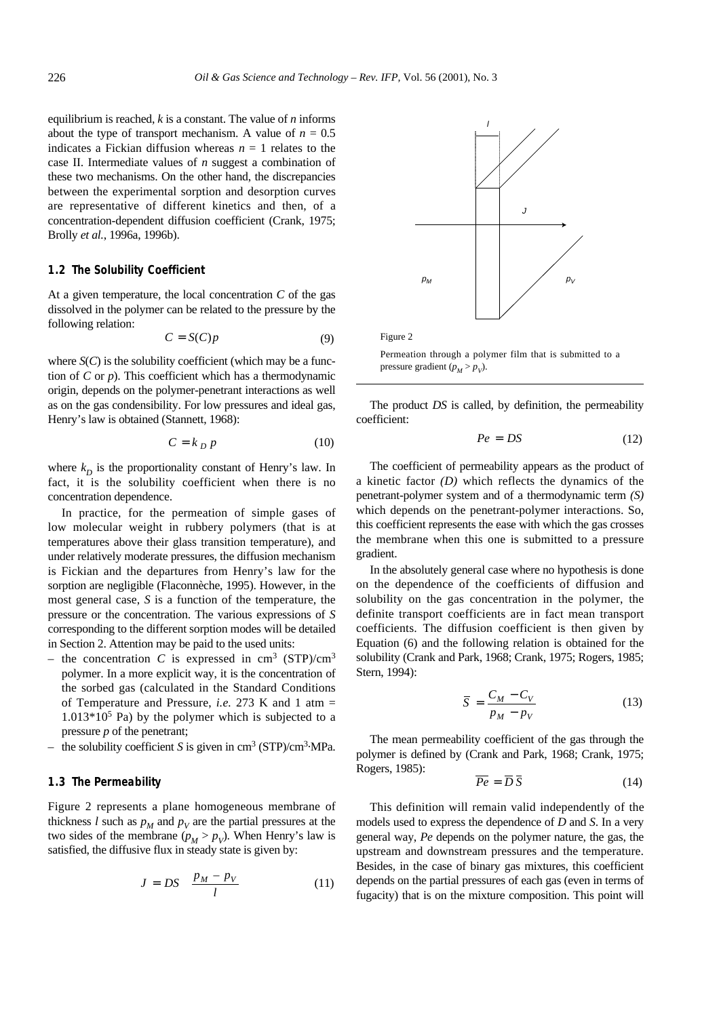equilibrium is reached, *k* is a constant. The value of *n* informs about the type of transport mechanism. A value of  $n = 0.5$ indicates a Fickian diffusion whereas  $n = 1$  relates to the case II. Intermediate values of *n* suggest a combination of these two mechanisms. On the other hand, the discrepancies between the experimental sorption and desorption curves are representative of different kinetics and then, of a concentration-dependent diffusion coefficient (Crank, 1975; Brolly *et al.*, 1996a, 1996b).

#### **1.2 The Solubility Coefficient**

At a given temperature, the local concentration *C* of the gas dissolved in the polymer can be related to the pressure by the following relation:

$$
C = S(C)p \tag{9}
$$

where  $S(C)$  is the solubility coefficient (which may be a function of *C* or *p*). This coefficient which has a thermodynamic origin, depends on the polymer-penetrant interactions as well as on the gas condensibility. For low pressures and ideal gas, Henry's law is obtained (Stannett, 1968):

$$
C = k_D p \tag{10}
$$

where  $k_D$  is the proportionality constant of Henry's law. In fact, it is the solubility coefficient when there is no concentration dependence.

In practice, for the permeation of simple gases of low molecular weight in rubbery polymers (that is at temperatures above their glass transition temperature), and under relatively moderate pressures, the diffusion mechanism is Fickian and the departures from Henry's law for the sorption are negligible (Flaconnèche, 1995). However, in the most general case, *S* is a function of the temperature, the pressure or the concentration. The various expressions of *S* corresponding to the different sorption modes will be detailed in Section 2. Attention may be paid to the used units:

- the concentration *C* is expressed in  $cm<sup>3</sup>$  (STP)/ $cm<sup>3</sup>$ polymer. In a more explicit way, it is the concentration of the sorbed gas (calculated in the Standard Conditions of Temperature and Pressure, *i.e.* 273 K and 1 atm =  $1.013*10<sup>5</sup>$  Pa) by the polymer which is subjected to a pressure *p* of the penetrant;
- the solubility coefficient *S* is given in  $\text{cm}^3$  (STP)/ $\text{cm}^3$ ·MPa.

#### **1.3 The Permeability**

Figure 2 represents a plane homogeneous membrane of thickness *l* such as  $p<sub>M</sub>$  and  $p<sub>V</sub>$  are the partial pressures at the two sides of the membrane  $(p_M > p_V)$ . When Henry's law is satisfied, the diffusive flux in steady state is given by:

$$
J = DS\left(\frac{p_M - p_V}{l}\right) \tag{11}
$$



Figure 2

Permeation through a polymer film that is submitted to a pressure gradient  $(p_M > p_V)$ .

The product *DS* is called, by definition, the permeability coefficient:

$$
Pe = DS \tag{12}
$$

The coefficient of permeability appears as the product of a kinetic factor *(D)* which reflects the dynamics of the penetrant-polymer system and of a thermodynamic term *(S)* which depends on the penetrant-polymer interactions. So, this coefficient represents the ease with which the gas crosses the membrane when this one is submitted to a pressure gradient.

In the absolutely general case where no hypothesis is done on the dependence of the coefficients of diffusion and solubility on the gas concentration in the polymer, the definite transport coefficients are in fact mean transport coefficients. The diffusion coefficient is then given by Equation (6) and the following relation is obtained for the solubility (Crank and Park, 1968; Crank, 1975; Rogers, 1985; Stern, 1994):

$$
\overline{S} = \frac{C_M - C_V}{p_M - p_V} \tag{13}
$$

The mean permeability coefficient of the gas through the polymer is defined by (Crank and Park, 1968; Crank, 1975; Rogers, 1985):

$$
Pe = D S \tag{14}
$$

This definition will remain valid independently of the models used to express the dependence of *D* and *S*. In a very general way, *Pe* depends on the polymer nature, the gas, the upstream and downstream pressures and the temperature. Besides, in the case of binary gas mixtures, this coefficient depends on the partial pressures of each gas (even in terms of fugacity) that is on the mixture composition. This point will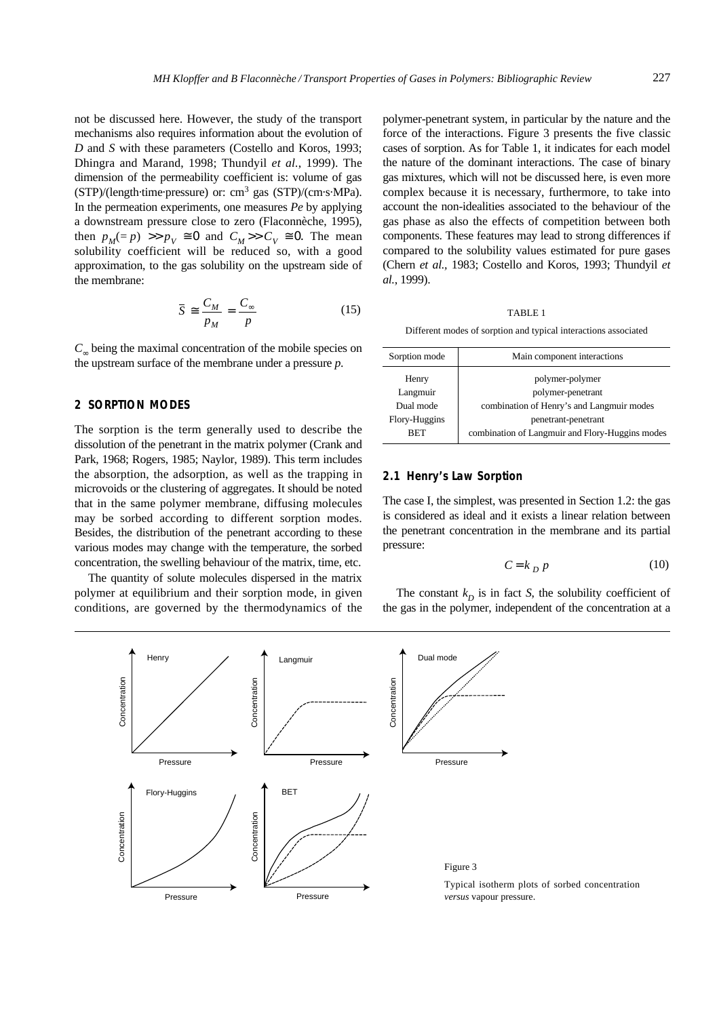not be discussed here. However, the study of the transport mechanisms also requires information about the evolution of *D* and *S* with these parameters (Costello and Koros, 1993; Dhingra and Marand, 1998; Thundyil *et al.*, 1999). The dimension of the permeability coefficient is: volume of gas  $(STP)/(length-time-pressure)$  or:  $cm<sup>3</sup>$  gas  $(STP)/(cm·sMPa)$ . In the permeation experiments, one measures *Pe* by applying a downstream pressure close to zero (Flaconnèche, 1995), then  $p_M = p_V \ge 0$  and  $C_M >> C_V \ge 0$ . The mean solubility coefficient will be reduced so, with a good approximation, to the gas solubility on the upstream side of the membrane:

$$
\overline{S} \cong \frac{C_M}{p_M} = \frac{C_\infty}{p} \tag{15}
$$

*C*<sup>∞</sup> being the maximal concentration of the mobile species on the upstream surface of the membrane under a pressure *p*.

# **2 SORPTION MODES**

The sorption is the term generally used to describe the dissolution of the penetrant in the matrix polymer (Crank and Park, 1968; Rogers, 1985; Naylor, 1989). This term includes the absorption, the adsorption, as well as the trapping in microvoids or the clustering of aggregates. It should be noted that in the same polymer membrane, diffusing molecules may be sorbed according to different sorption modes. Besides, the distribution of the penetrant according to these various modes may change with the temperature, the sorbed concentration, the swelling behaviour of the matrix, time, etc.

The quantity of solute molecules dispersed in the matrix polymer at equilibrium and their sorption mode, in given conditions, are governed by the thermodynamics of the polymer-penetrant system, in particular by the nature and the force of the interactions. Figure 3 presents the five classic cases of sorption. As for Table 1, it indicates for each model the nature of the dominant interactions. The case of binary gas mixtures, which will not be discussed here, is even more complex because it is necessary, furthermore, to take into account the non-idealities associated to the behaviour of the gas phase as also the effects of competition between both components. These features may lead to strong differences if compared to the solubility values estimated for pure gases (Chern *et al.,* 1983; Costello and Koros, 1993; Thundyil *et al.*, 1999).

TABLE 1

Different modes of sorption and typical interactions associated

| Sorption mode | Main component interactions                     |  |
|---------------|-------------------------------------------------|--|
| Henry         | polymer-polymer                                 |  |
| Langmuir      | polymer-penetrant                               |  |
| Dual mode     | combination of Henry's and Langmuir modes       |  |
| Flory-Huggins | penetrant-penetrant                             |  |
| <b>BET</b>    | combination of Langmuir and Flory-Huggins modes |  |

# **2.1 Henry's Law Sorption**

The case I, the simplest, was presented in Section 1.2: the gas is considered as ideal and it exists a linear relation between the penetrant concentration in the membrane and its partial pressure:

$$
C = k_D p \tag{10}
$$

The constant  $k_D$  is in fact *S*, the solubility coefficient of the gas in the polymer, independent of the concentration at a

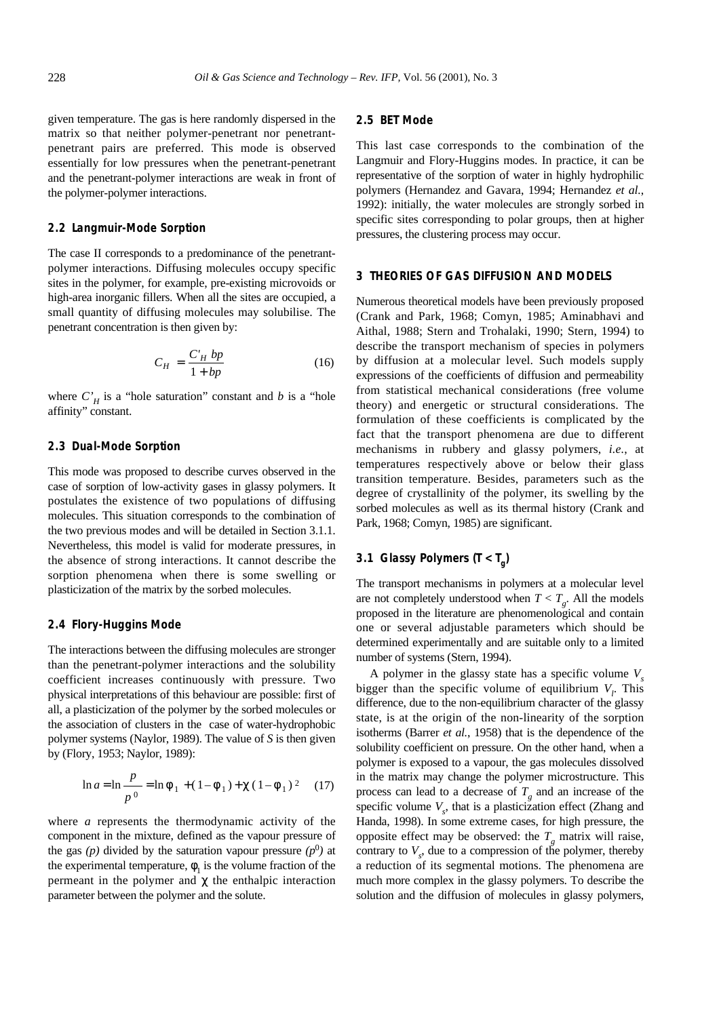given temperature. The gas is here randomly dispersed in the matrix so that neither polymer-penetrant nor penetrantpenetrant pairs are preferred. This mode is observed essentially for low pressures when the penetrant-penetrant and the penetrant-polymer interactions are weak in front of the polymer-polymer interactions.

#### **2.2 Langmuir-Mode Sorption**

The case II corresponds to a predominance of the penetrantpolymer interactions. Diffusing molecules occupy specific sites in the polymer, for example, pre-existing microvoids or high-area inorganic fillers. When all the sites are occupied, a small quantity of diffusing molecules may solubilise. The penetrant concentration is then given by:

$$
C_H = \frac{C_H \; bp}{1 + bp} \tag{16}
$$

where  $C_H$  is a "hole saturation" constant and *b* is a "hole affinity" constant.

#### **2.3 Dual-Mode Sorption**

This mode was proposed to describe curves observed in the case of sorption of low-activity gases in glassy polymers. It postulates the existence of two populations of diffusing molecules. This situation corresponds to the combination of the two previous modes and will be detailed in Section 3.1.1. Nevertheless, this model is valid for moderate pressures, in the absence of strong interactions. It cannot describe the sorption phenomena when there is some swelling or plasticization of the matrix by the sorbed molecules.

## **2.4 Flory-Huggins Mode**

The interactions between the diffusing molecules are stronger than the penetrant-polymer interactions and the solubility coefficient increases continuously with pressure. Two physical interpretations of this behaviour are possible: first of all, a plasticization of the polymer by the sorbed molecules or the association of clusters in the case of water-hydrophobic polymer systems (Naylor, 1989). The value of *S* is then given by (Flory, 1953; Naylor, 1989):

$$
\ln a = \ln \frac{p}{p^0} = \ln \phi_1 + (1 - \phi_1) + \chi (1 - \phi_1)^2
$$
 (17)

where *a* represents the thermodynamic activity of the component in the mixture, defined as the vapour pressure of the gas *(p)* divided by the saturation vapour pressure  $(p^0)$  at the experimental temperature,  $\phi_1$  is the volume fraction of the permeant in the polymer and χ the enthalpic interaction parameter between the polymer and the solute.

#### **2.5 BET Mode**

This last case corresponds to the combination of the Langmuir and Flory-Huggins modes. In practice, it can be representative of the sorption of water in highly hydrophilic polymers (Hernandez and Gavara, 1994; Hernandez *et al.*, 1992): initially, the water molecules are strongly sorbed in specific sites corresponding to polar groups, then at higher pressures, the clustering process may occur.

## **3 THEORIES OF GAS DIFFUSION AND MODELS**

Numerous theoretical models have been previously proposed (Crank and Park, 1968; Comyn, 1985; Aminabhavi and Aithal, 1988; Stern and Trohalaki, 1990; Stern, 1994) to describe the transport mechanism of species in polymers by diffusion at a molecular level. Such models supply expressions of the coefficients of diffusion and permeability from statistical mechanical considerations (free volume theory) and energetic or structural considerations. The formulation of these coefficients is complicated by the fact that the transport phenomena are due to different mechanisms in rubbery and glassy polymers, *i.e.*, at temperatures respectively above or below their glass transition temperature. Besides, parameters such as the degree of crystallinity of the polymer, its swelling by the sorbed molecules as well as its thermal history (Crank and Park, 1968; Comyn, 1985) are significant.

# **3.1 Glassy Polymers (***T* **<** *Tg***)**

The transport mechanisms in polymers at a molecular level are not completely understood when  $T < T_g$ . All the models proposed in the literature are phenomenological and contain one or several adjustable parameters which should be determined experimentally and are suitable only to a limited number of systems (Stern, 1994).

A polymer in the glassy state has a specific volume  $V<sub>s</sub>$ bigger than the specific volume of equilibrium  $V_l$ . This difference, due to the non-equilibrium character of the glassy state, is at the origin of the non-linearity of the sorption isotherms (Barrer *et al.*, 1958) that is the dependence of the solubility coefficient on pressure. On the other hand, when a polymer is exposed to a vapour, the gas molecules dissolved in the matrix may change the polymer microstructure. This process can lead to a decrease of  $T<sub>g</sub>$  and an increase of the specific volume  $V_s$ , that is a plasticization effect (Zhang and Handa, 1998). In some extreme cases, for high pressure, the opposite effect may be observed: the  $T_g$  matrix will raise, contrary to  $V_s$ , due to a compression of the polymer, thereby a reduction of its segmental motions. The phenomena are much more complex in the glassy polymers. To describe the solution and the diffusion of molecules in glassy polymers,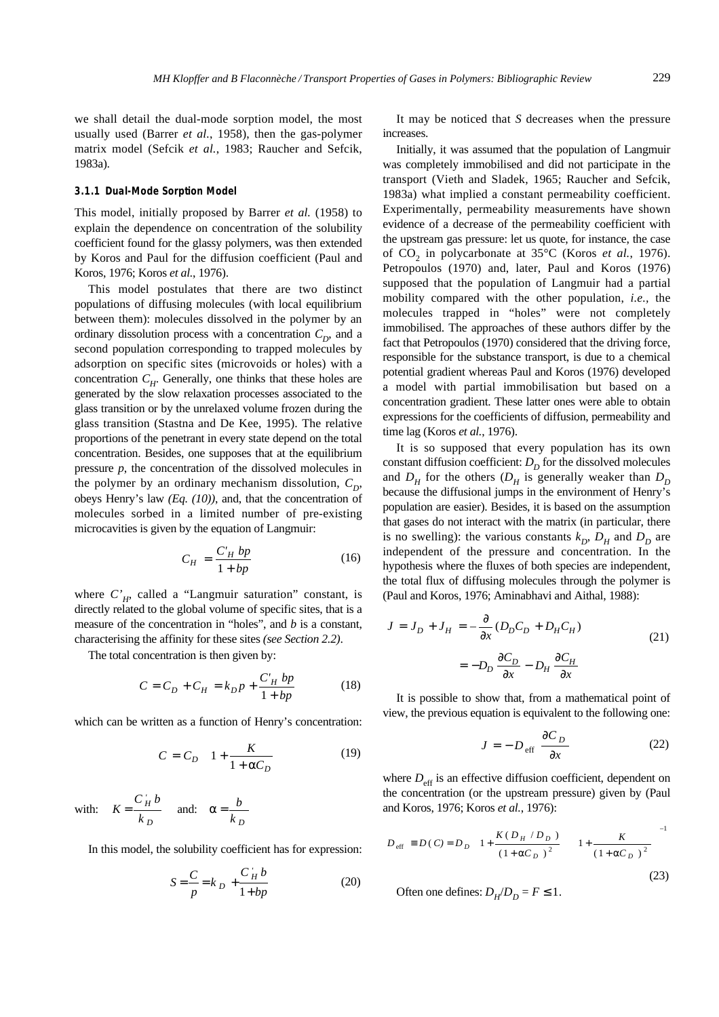we shall detail the dual-mode sorption model, the most usually used (Barrer *et al.*, 1958), then the gas-polymer matrix model (Sefcik *et al.*, 1983; Raucher and Sefcik, 1983a).

# **3.1.1 Dual-Mode Sorption Model**

This model, initially proposed by Barrer *et al.* (1958) to explain the dependence on concentration of the solubility coefficient found for the glassy polymers, was then extended by Koros and Paul for the diffusion coefficient (Paul and Koros, 1976; Koros *et al.*, 1976).

This model postulates that there are two distinct populations of diffusing molecules (with local equilibrium between them): molecules dissolved in the polymer by an ordinary dissolution process with a concentration  $C_D$ , and a second population corresponding to trapped molecules by adsorption on specific sites (microvoids or holes) with a concentration  $C_H$ . Generally, one thinks that these holes are generated by the slow relaxation processes associated to the glass transition or by the unrelaxed volume frozen during the glass transition (Stastna and De Kee, 1995). The relative proportions of the penetrant in every state depend on the total concentration. Besides, one supposes that at the equilibrium pressure *p*, the concentration of the dissolved molecules in the polymer by an ordinary mechanism dissolution,  $C_D$ , obeys Henry's law *(Eq. (10))*, and, that the concentration of molecules sorbed in a limited number of pre-existing microcavities is given by the equation of Langmuir:

$$
C_H = \frac{C_H \, bp}{1 + bp} \tag{16}
$$

where  $C'_{H'}$ , called a "Langmuir saturation" constant, is directly related to the global volume of specific sites, that is a measure of the concentration in "holes", and *b* is a constant, characterising the affinity for these sites *(see Section 2.2)*.

The total concentration is then given by:

$$
C = C_D + C_H = k_D p + \frac{C'_H b p}{1 + b p}
$$
 (18)

which can be written as a function of Henry's concentration:

$$
C = C_D \left( 1 + \frac{K}{1 + \alpha C_D} \right) \tag{19}
$$

with:  $K = \frac{C_H b}{I}$  and:  $\alpha = \frac{b}{I}$  $K = \frac{h}{k_D}$  and:  $\alpha = \frac{b}{k_D}$  $C \vert_{H} b$ *k H ' D* =

In this model, the solubility coefficient has for expression:

$$
S = \frac{C}{p} = k_D + \frac{C_H b}{1 + bp}
$$
 (20)

It may be noticed that *S* decreases when the pressure increases.

Initially, it was assumed that the population of Langmuir was completely immobilised and did not participate in the transport (Vieth and Sladek, 1965; Raucher and Sefcik, 1983a) what implied a constant permeability coefficient. Experimentally, permeability measurements have shown evidence of a decrease of the permeability coefficient with the upstream gas pressure: let us quote, for instance, the case of CO<sub>2</sub> in polycarbonate at 35°C (Koros *et al.*, 1976). Petropoulos (1970) and, later, Paul and Koros (1976) supposed that the population of Langmuir had a partial mobility compared with the other population, *i.e.,* the molecules trapped in "holes" were not completely immobilised. The approaches of these authors differ by the fact that Petropoulos (1970) considered that the driving force, responsible for the substance transport, is due to a chemical potential gradient whereas Paul and Koros (1976) developed a model with partial immobilisation but based on a concentration gradient. These latter ones were able to obtain expressions for the coefficients of diffusion, permeability and time lag (Koros *et al.*, 1976).

It is so supposed that every population has its own constant diffusion coefficient:  $D<sub>D</sub>$  for the dissolved molecules and  $D_H$  for the others  $(D_H$  is generally weaker than  $D_D$ because the diffusional jumps in the environment of Henry's population are easier). Besides, it is based on the assumption that gases do not interact with the matrix (in particular, there is no swelling): the various constants  $k_D$ ,  $D_H$  and  $D_D$  are independent of the pressure and concentration. In the hypothesis where the fluxes of both species are independent, the total flux of diffusing molecules through the polymer is (Paul and Koros, 1976; Aminabhavi and Aithal, 1988):

$$
J = J_D + J_H = -\frac{\partial}{\partial x} (D_D C_D + D_H C_H)
$$
  

$$
= -D_D \frac{\partial C_D}{\partial x} - D_H \frac{\partial C_H}{\partial x}
$$
 (21)

It is possible to show that, from a mathematical point of view, the previous equation is equivalent to the following one:

$$
J = -D_{\rm eff} \frac{\partial C_D}{\partial x} \tag{22}
$$

where  $D_{\text{eff}}$  is an effective diffusion coefficient, dependent on the concentration (or the upstream pressure) given by (Paul and Koros, 1976; Koros *et al.*, 1976):

$$
D_{\text{eff}} = D(C) = D_D \left[ 1 + \frac{K (D_H / D_D)}{(1 + \alpha C_D)^2} \right] \left[ 1 + \frac{K}{(1 + \alpha C_D)^2} \right]^{-1}
$$
\n(23)

Often one defines:  $D_H/D_D = F \le 1$ .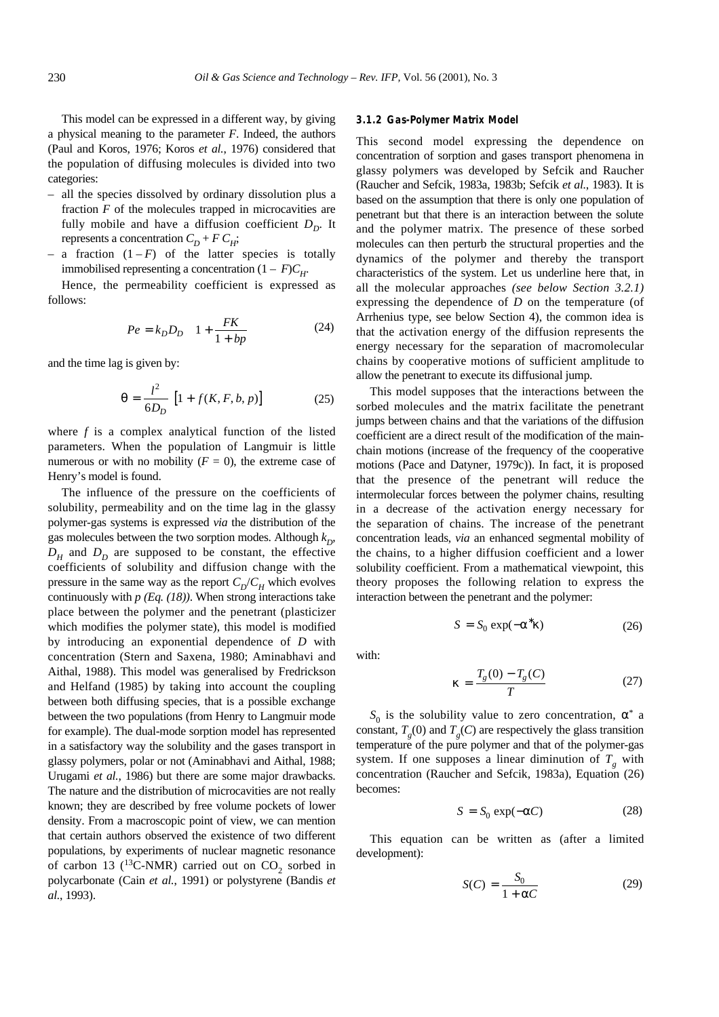This model can be expressed in a different way, by giving a physical meaning to the parameter *F*. Indeed, the authors (Paul and Koros, 1976; Koros *et al.*, 1976) considered that the population of diffusing molecules is divided into two categories:

- all the species dissolved by ordinary dissolution plus a fraction *F* of the molecules trapped in microcavities are fully mobile and have a diffusion coefficient  $D_p$ . It represents a concentration  $C_p + F C_H$ ;
- a fraction  $(1 F)$  of the latter species is totally immobilised representing a concentration  $(1 - F)C_H$ .

Hence, the permeability coefficient is expressed as follows:

$$
Pe = k_D D_D \left( 1 + \frac{FK}{1 + bp} \right) \tag{24}
$$

and the time lag is given by:

$$
\theta = \frac{l^2}{6D_D} \left[ 1 + f(K, F, b, p) \right] \tag{25}
$$

where *f* is a complex analytical function of the listed parameters. When the population of Langmuir is little numerous or with no mobility  $(F = 0)$ , the extreme case of Henry's model is found.

The influence of the pressure on the coefficients of solubility, permeability and on the time lag in the glassy polymer-gas systems is expressed *via* the distribution of the gas molecules between the two sorption modes. Although  $k_D$ ,  $D_H$  and  $D_D$  are supposed to be constant, the effective coefficients of solubility and diffusion change with the pressure in the same way as the report  $C_D/C_H$  which evolves continuously with *p (Eq. (18))*. When strong interactions take place between the polymer and the penetrant (plasticizer which modifies the polymer state), this model is modified by introducing an exponential dependence of *D* with concentration (Stern and Saxena, 1980; Aminabhavi and Aithal, 1988). This model was generalised by Fredrickson and Helfand (1985) by taking into account the coupling between both diffusing species, that is a possible exchange between the two populations (from Henry to Langmuir mode for example). The dual-mode sorption model has represented in a satisfactory way the solubility and the gases transport in glassy polymers, polar or not (Aminabhavi and Aithal, 1988; Urugami *et al.*, 1986) but there are some major drawbacks. The nature and the distribution of microcavities are not really known; they are described by free volume pockets of lower density. From a macroscopic point of view, we can mention that certain authors observed the existence of two different populations, by experiments of nuclear magnetic resonance of carbon 13 ( $^{13}$ C-NMR) carried out on CO<sub>2</sub> sorbed in polycarbonate (Cain *et al.*, 1991) or polystyrene (Bandis *et al.*, 1993).

## **3.1.2 Gas-Polymer Matrix Model**

This second model expressing the dependence on concentration of sorption and gases transport phenomena in glassy polymers was developed by Sefcik and Raucher (Raucher and Sefcik, 1983a, 1983b; Sefcik *et al.*, 1983). It is based on the assumption that there is only one population of penetrant but that there is an interaction between the solute and the polymer matrix. The presence of these sorbed molecules can then perturb the structural properties and the dynamics of the polymer and thereby the transport characteristics of the system. Let us underline here that, in all the molecular approaches *(see below Section 3.2.1)* expressing the dependence of *D* on the temperature (of Arrhenius type, see below Section 4), the common idea is that the activation energy of the diffusion represents the energy necessary for the separation of macromolecular chains by cooperative motions of sufficient amplitude to allow the penetrant to execute its diffusional jump.

This model supposes that the interactions between the sorbed molecules and the matrix facilitate the penetrant jumps between chains and that the variations of the diffusion coefficient are a direct result of the modification of the mainchain motions (increase of the frequency of the cooperative motions (Pace and Datyner, 1979c)). In fact, it is proposed that the presence of the penetrant will reduce the intermolecular forces between the polymer chains, resulting in a decrease of the activation energy necessary for the separation of chains. The increase of the penetrant concentration leads, *via* an enhanced segmental mobility of the chains, to a higher diffusion coefficient and a lower solubility coefficient. From a mathematical viewpoint, this theory proposes the following relation to express the interaction between the penetrant and the polymer:

$$
S = S_0 \exp(-\alpha^* \kappa) \tag{26}
$$

with:

$$
\kappa = \frac{T_g(0) - T_g(C)}{T}
$$
 (27)

 $S_0$  is the solubility value to zero concentration,  $\alpha^*$  a constant,  $T_g(0)$  and  $T_g(C)$  are respectively the glass transition temperature of the pure polymer and that of the polymer-gas system. If one supposes a linear diminution of  $T_g$  with concentration (Raucher and Sefcik, 1983a), Equation (26) becomes:

$$
S = S_0 \exp(-\alpha C) \tag{28}
$$

This equation can be written as (after a limited development):

$$
S(C) = \frac{S_0}{1 + \alpha C} \tag{29}
$$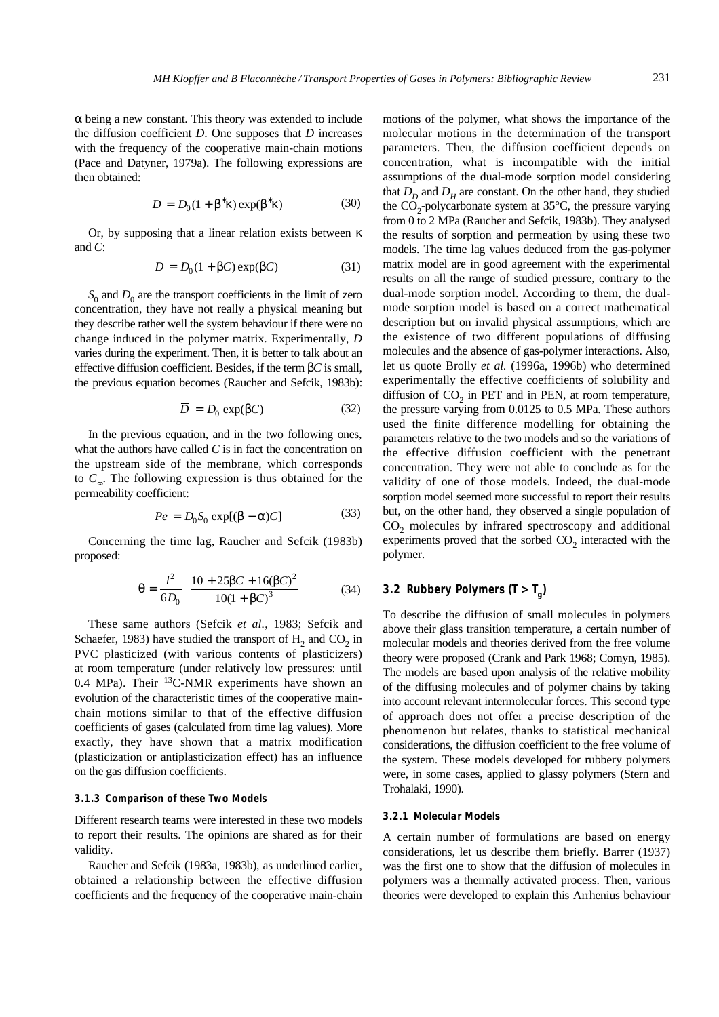$\alpha$  being a new constant. This theory was extended to include the diffusion coefficient *D*. One supposes that *D* increases with the frequency of the cooperative main-chain motions (Pace and Datyner, 1979a). The following expressions are then obtained:

$$
D = D_0(1 + \beta^* \kappa) \exp(\beta^* \kappa)
$$
 (30)

Or, by supposing that a linear relation exists between κ and *C*:

$$
D = D_0(1 + \beta C) \exp(\beta C) \tag{31}
$$

 $S_0$  and  $D_0$  are the transport coefficients in the limit of zero concentration, they have not really a physical meaning but they describe rather well the system behaviour if there were no change induced in the polymer matrix. Experimentally, *D* varies during the experiment. Then, it is better to talk about an effective diffusion coefficient. Besides, if the term β*C* is small, the previous equation becomes (Raucher and Sefcik, 1983b):

$$
\overline{D} = D_0 \exp(\beta C) \tag{32}
$$

In the previous equation, and in the two following ones, what the authors have called *C* is in fact the concentration on the upstream side of the membrane, which corresponds to *C*∞. The following expression is thus obtained for the permeability coefficient:

$$
Pe = D_0 S_0 \exp[(\beta - \alpha)C] \tag{33}
$$

Concerning the time lag, Raucher and Sefcik (1983b) proposed:

$$
\theta = \frac{l^2}{6D_0} \frac{10 + 25\beta C + 16(\beta C)^2}{10(1 + \beta C)^3}
$$
 (34)

These same authors (Sefcik *et al.*, 1983; Sefcik and Schaefer, 1983) have studied the transport of  $H<sub>2</sub>$  and  $CO<sub>2</sub>$  in PVC plasticized (with various contents of plasticizers) at room temperature (under relatively low pressures: until 0.4 MPa). Their  $^{13}$ C-NMR experiments have shown an evolution of the characteristic times of the cooperative mainchain motions similar to that of the effective diffusion coefficients of gases (calculated from time lag values). More exactly, they have shown that a matrix modification (plasticization or antiplasticization effect) has an influence on the gas diffusion coefficients.

## **3.1.3 Comparison of these Two Models**

Different research teams were interested in these two models to report their results. The opinions are shared as for their validity.

Raucher and Sefcik (1983a, 1983b), as underlined earlier, obtained a relationship between the effective diffusion coefficients and the frequency of the cooperative main-chain

motions of the polymer, what shows the importance of the molecular motions in the determination of the transport parameters. Then, the diffusion coefficient depends on concentration, what is incompatible with the initial assumptions of the dual-mode sorption model considering that  $D<sub>D</sub>$  and  $D<sub>H</sub>$  are constant. On the other hand, they studied the  $CO<sub>2</sub>$ -polycarbonate system at  $35^{\circ}$ C, the pressure varying from 0 to 2 MPa (Raucher and Sefcik, 1983b). They analysed the results of sorption and permeation by using these two models. The time lag values deduced from the gas-polymer matrix model are in good agreement with the experimental results on all the range of studied pressure, contrary to the dual-mode sorption model. According to them, the dualmode sorption model is based on a correct mathematical description but on invalid physical assumptions, which are the existence of two different populations of diffusing molecules and the absence of gas-polymer interactions. Also, let us quote Brolly *et al.* (1996a, 1996b) who determined experimentally the effective coefficients of solubility and diffusion of  $CO<sub>2</sub>$  in PET and in PEN, at room temperature, the pressure varying from 0.0125 to 0.5 MPa. These authors used the finite difference modelling for obtaining the parameters relative to the two models and so the variations of the effective diffusion coefficient with the penetrant concentration. They were not able to conclude as for the validity of one of those models. Indeed, the dual-mode sorption model seemed more successful to report their results but, on the other hand, they observed a single population of CO<sub>2</sub> molecules by infrared spectroscopy and additional experiments proved that the sorbed  $CO<sub>2</sub>$  interacted with the polymer.

# 3.2 Rubbery Polymers  $(T > T_q)$

To describe the diffusion of small molecules in polymers above their glass transition temperature, a certain number of molecular models and theories derived from the free volume theory were proposed (Crank and Park 1968; Comyn, 1985). The models are based upon analysis of the relative mobility of the diffusing molecules and of polymer chains by taking into account relevant intermolecular forces. This second type of approach does not offer a precise description of the phenomenon but relates, thanks to statistical mechanical considerations, the diffusion coefficient to the free volume of the system. These models developed for rubbery polymers were, in some cases, applied to glassy polymers (Stern and Trohalaki, 1990).

#### **3.2.1 Molecular Models**

A certain number of formulations are based on energy considerations, let us describe them briefly. Barrer (1937) was the first one to show that the diffusion of molecules in polymers was a thermally activated process. Then, various theories were developed to explain this Arrhenius behaviour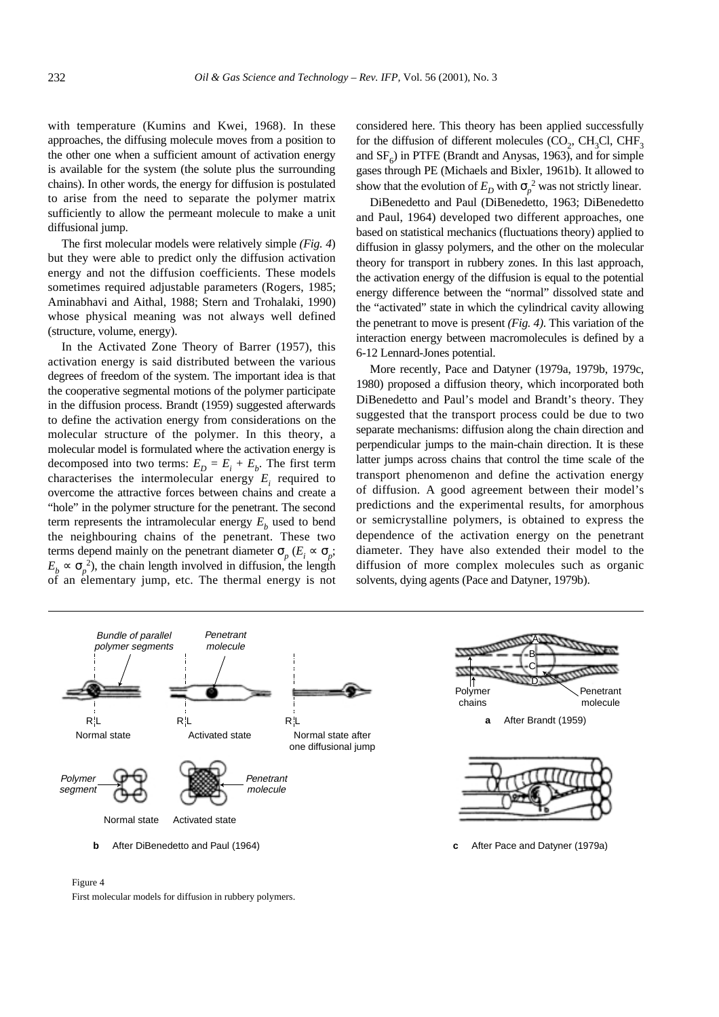with temperature (Kumins and Kwei, 1968). In these approaches, the diffusing molecule moves from a position to the other one when a sufficient amount of activation energy is available for the system (the solute plus the surrounding chains). In other words, the energy for diffusion is postulated to arise from the need to separate the polymer matrix sufficiently to allow the permeant molecule to make a unit diffusional jump.

The first molecular models were relatively simple *(Fig. 4*) but they were able to predict only the diffusion activation energy and not the diffusion coefficients. These models sometimes required adjustable parameters (Rogers, 1985; Aminabhavi and Aithal, 1988; Stern and Trohalaki, 1990) whose physical meaning was not always well defined (structure, volume, energy).

In the Activated Zone Theory of Barrer (1957), this activation energy is said distributed between the various degrees of freedom of the system. The important idea is that the cooperative segmental motions of the polymer participate in the diffusion process. Brandt (1959) suggested afterwards to define the activation energy from considerations on the molecular structure of the polymer. In this theory, a molecular model is formulated where the activation energy is decomposed into two terms:  $E_D = E_i + E_b$ . The first term characterises the intermolecular energy  $E_i$  required to overcome the attractive forces between chains and create a "hole" in the polymer structure for the penetrant. The second term represents the intramolecular energy  $E<sub>b</sub>$  used to bend the neighbouring chains of the penetrant. These two terms depend mainly on the penetrant diameter  $\sigma_p (E_i \propto \sigma_p)$ ;  $E_b \propto \sigma_p^2$ , the chain length involved in diffusion, the length of an elementary jump, etc. The thermal energy is not considered here. This theory has been applied successfully for the diffusion of different molecules ( $CO<sub>2</sub>$ ,  $CH<sub>3</sub>Cl$ ,  $CHF<sub>3</sub>$ and  $SF<sub>6</sub>$ ) in PTFE (Brandt and Anysas, 1963), and for simple gases through PE (Michaels and Bixler, 1961b). It allowed to show that the evolution of  $E_D$  with  $\sigma_p^2$  was not strictly linear.

DiBenedetto and Paul (DiBenedetto, 1963; DiBenedetto and Paul, 1964) developed two different approaches, one based on statistical mechanics (fluctuations theory) applied to diffusion in glassy polymers, and the other on the molecular theory for transport in rubbery zones. In this last approach, the activation energy of the diffusion is equal to the potential energy difference between the "normal" dissolved state and the "activated" state in which the cylindrical cavity allowing the penetrant to move is present *(Fig. 4)*. This variation of the interaction energy between macromolecules is defined by a 6-12 Lennard-Jones potential.

More recently, Pace and Datyner (1979a, 1979b, 1979c, 1980) proposed a diffusion theory, which incorporated both DiBenedetto and Paul's model and Brandt's theory. They suggested that the transport process could be due to two separate mechanisms: diffusion along the chain direction and perpendicular jumps to the main-chain direction. It is these latter jumps across chains that control the time scale of the transport phenomenon and define the activation energy of diffusion. A good agreement between their model's predictions and the experimental results, for amorphous or semicrystalline polymers, is obtained to express the dependence of the activation energy on the penetrant diameter. They have also extended their model to the diffusion of more complex molecules such as organic solvents, dying agents (Pace and Datyner, 1979b).



Figure 4

First molecular models for diffusion in rubbery polymers.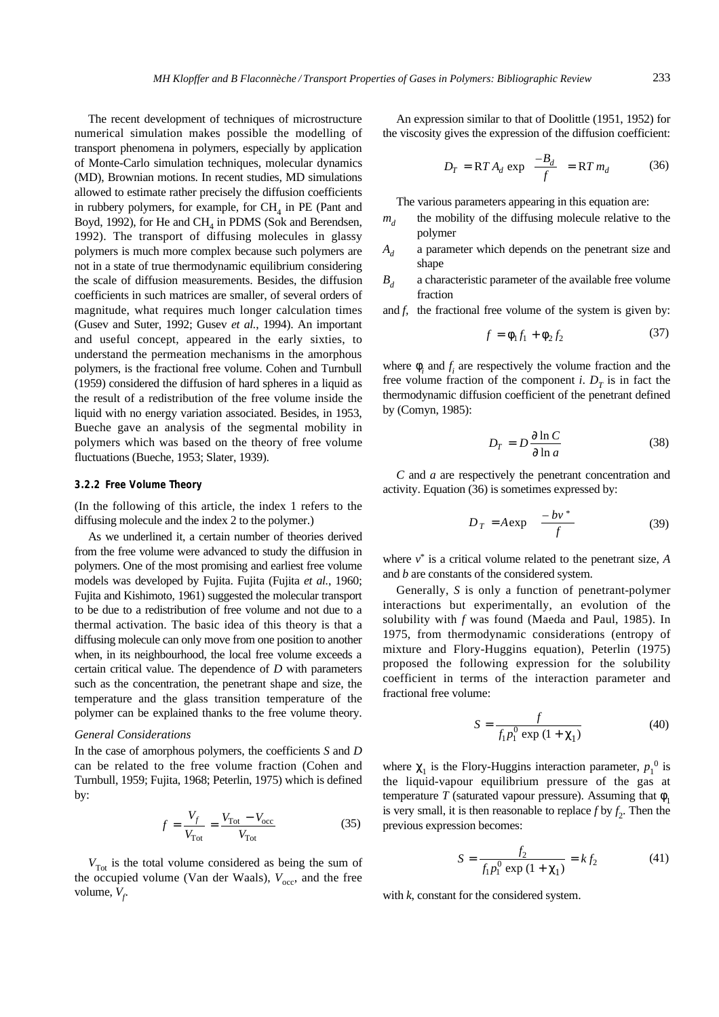The recent development of techniques of microstructure numerical simulation makes possible the modelling of transport phenomena in polymers, especially by application of Monte-Carlo simulation techniques, molecular dynamics (MD), Brownian motions. In recent studies, MD simulations allowed to estimate rather precisely the diffusion coefficients in rubbery polymers, for example, for  $CH<sub>4</sub>$  in PE (Pant and Boyd, 1992), for He and  $CH<sub>4</sub>$  in PDMS (Sok and Berendsen, 1992). The transport of diffusing molecules in glassy polymers is much more complex because such polymers are not in a state of true thermodynamic equilibrium considering the scale of diffusion measurements. Besides, the diffusion coefficients in such matrices are smaller, of several orders of magnitude, what requires much longer calculation times (Gusev and Suter, 1992; Gusev *et al.*, 1994). An important and useful concept, appeared in the early sixties, to understand the permeation mechanisms in the amorphous polymers, is the fractional free volume. Cohen and Turnbull (1959) considered the diffusion of hard spheres in a liquid as the result of a redistribution of the free volume inside the liquid with no energy variation associated. Besides, in 1953, Bueche gave an analysis of the segmental mobility in polymers which was based on the theory of free volume fluctuations (Bueche, 1953; Slater, 1939).

## **3.2.2 Free Volume Theory**

(In the following of this article, the index 1 refers to the diffusing molecule and the index 2 to the polymer.)

As we underlined it, a certain number of theories derived from the free volume were advanced to study the diffusion in polymers. One of the most promising and earliest free volume models was developed by Fujita. Fujita (Fujita *et al.*, 1960; Fujita and Kishimoto, 1961) suggested the molecular transport to be due to a redistribution of free volume and not due to a thermal activation. The basic idea of this theory is that a diffusing molecule can only move from one position to another when, in its neighbourhood, the local free volume exceeds a certain critical value. The dependence of *D* with parameters such as the concentration, the penetrant shape and size, the temperature and the glass transition temperature of the polymer can be explained thanks to the free volume theory.

## *General Considerations*

In the case of amorphous polymers, the coefficients *S* and *D* can be related to the free volume fraction (Cohen and Turnbull, 1959; Fujita, 1968; Peterlin, 1975) which is defined by:

$$
f = \frac{V_f}{V_{\text{Tot}}} = \frac{V_{\text{Tot}} - V_{\text{occ}}}{V_{\text{Tot}}}
$$
(35)

 $V_{\text{Tot}}$  is the total volume considered as being the sum of the occupied volume (Van der Waals),  $V_{\text{occ}}$ , and the free volume,  $V_f$ .

An expression similar to that of Doolittle (1951, 1952) for the viscosity gives the expression of the diffusion coefficient:

$$
D_T = RT A_d \exp\left(\frac{-B_d}{f}\right) = RT m_d \tag{36}
$$

The various parameters appearing in this equation are:

- $m<sub>a</sub>$  the mobility of the diffusing molecule relative to the polymer
- *A<sub>d</sub>* a parameter which depends on the penetrant size and shape
- $B_d$  a characteristic parameter of the available free volume fraction
- and *f*, the fractional free volume of the system is given by:

$$
f = \phi_1 f_1 + \phi_2 f_2 \tag{37}
$$

where  $\phi_i$  and  $f_i$  are respectively the volume fraction and the free volume fraction of the component *i*.  $D<sub>T</sub>$  is in fact the thermodynamic diffusion coefficient of the penetrant defined by (Comyn, 1985):

$$
D_T = D \frac{\partial \ln C}{\partial \ln a} \tag{38}
$$

*C* and *a* are respectively the penetrant concentration and activity. Equation (36) is sometimes expressed by:

$$
D_T = A \exp\left(\frac{-bv^*}{f}\right) \tag{39}
$$

where *v*\* is a critical volume related to the penetrant size, *A* and *b* are constants of the considered system.

Generally, *S* is only a function of penetrant-polymer interactions but experimentally, an evolution of the solubility with *f* was found (Maeda and Paul, 1985). In 1975, from thermodynamic considerations (entropy of mixture and Flory-Huggins equation), Peterlin (1975) proposed the following expression for the solubility coefficient in terms of the interaction parameter and fractional free volume:

$$
S = \frac{f}{f_1 p_1^0 \exp(1 + \chi_1)}
$$
(40)

where  $\chi_1$  is the Flory-Huggins interaction parameter,  $p_1^0$  is the liquid-vapour equilibrium pressure of the gas at temperature *T* (saturated vapour pressure). Assuming that  $\phi_1$ is very small, it is then reasonable to replace  $f$  by  $f_2$ . Then the previous expression becomes:

$$
S = \frac{f_2}{f_1 p_1^0 \exp(1 + \chi_1)} = k f_2 \tag{41}
$$

with *k*, constant for the considered system.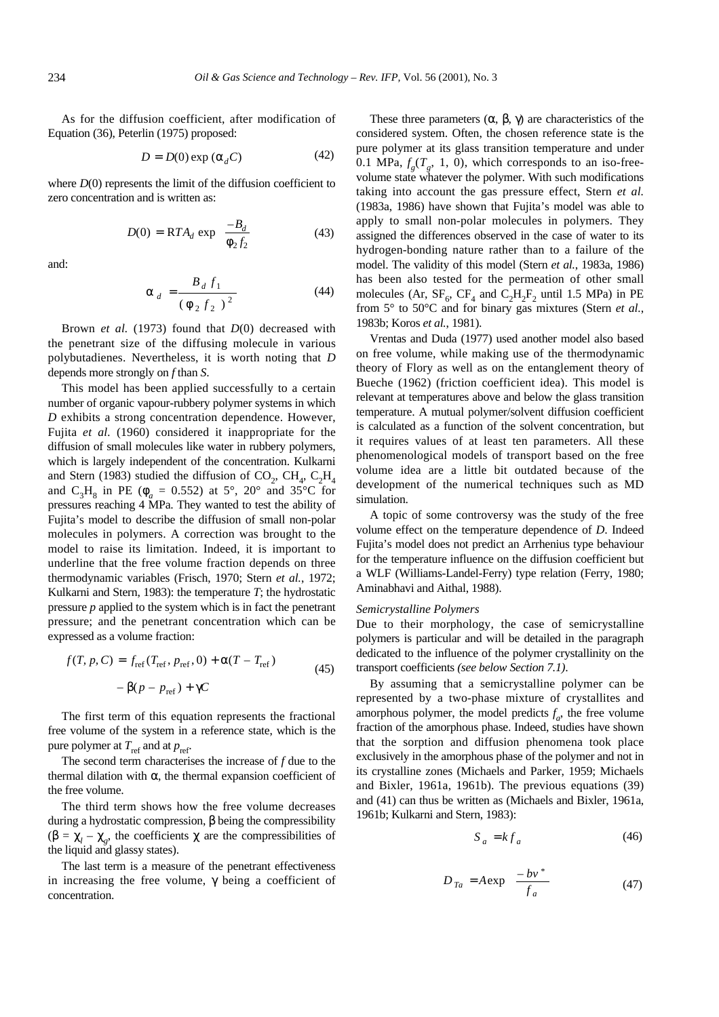As for the diffusion coefficient, after modification of Equation (36), Peterlin (1975) proposed:

$$
D = D(0) \exp{(\alpha_d C)}
$$
 (42)

where  $D(0)$  represents the limit of the diffusion coefficient to zero concentration and is written as:

$$
D(0) = RTA_d \exp\left(\frac{-B_d}{\Phi_2 f_2}\right) \tag{43}
$$

and:

$$
\alpha_d = \frac{B_d f_1}{(\phi_2 f_2)^2}
$$
 (44)

Brown *et al.* (1973) found that *D*(0) decreased with the penetrant size of the diffusing molecule in various polybutadienes. Nevertheless, it is worth noting that *D* depends more strongly on *f* than *S*.

This model has been applied successfully to a certain number of organic vapour-rubbery polymer systems in which *D* exhibits a strong concentration dependence. However, Fujita *et al.* (1960) considered it inappropriate for the diffusion of small molecules like water in rubbery polymers, which is largely independent of the concentration. Kulkarni and Stern (1983) studied the diffusion of  $CO_2$ ,  $CH_4$ ,  $C_2H_4$ and  $C_3H_8$  in PE ( $\phi_a = 0.552$ ) at 5°, 20° and 35°C for pressures reaching 4 MPa. They wanted to test the ability of Fujita's model to describe the diffusion of small non-polar molecules in polymers. A correction was brought to the model to raise its limitation. Indeed, it is important to underline that the free volume fraction depends on three thermodynamic variables (Frisch, 1970; Stern *et al.*, 1972; Kulkarni and Stern, 1983): the temperature *T*; the hydrostatic pressure *p* applied to the system which is in fact the penetrant pressure; and the penetrant concentration which can be expressed as a volume fraction:

$$
f(T, p, C) = f_{\text{ref}}(T_{\text{ref}}, p_{\text{ref}}, 0) + \alpha (T - T_{\text{ref}})
$$
  
- 
$$
\beta(p - p_{\text{ref}}) + \gamma C
$$
 (45)

The first term of this equation represents the fractional free volume of the system in a reference state, which is the pure polymer at  $T_{ref}$  and at  $p_{ref}$ .

The second term characterises the increase of *f* due to the thermal dilation with α, the thermal expansion coefficient of the free volume.

The third term shows how the free volume decreases during a hydrostatic compression, β being the compressibility (β = χ*<sup>l</sup>* – χ*g*, the coefficients χ are the compressibilities of the liquid and glassy states).

The last term is a measure of the penetrant effectiveness in increasing the free volume,  $\gamma$  being a coefficient of concentration.

These three parameters  $(\alpha, \beta, \gamma)$  are characteristics of the considered system. Often, the chosen reference state is the pure polymer at its glass transition temperature and under 0.1 MPa,  $f_g(T_g, 1, 0)$ , which corresponds to an iso-freevolume state whatever the polymer. With such modifications taking into account the gas pressure effect, Stern *et al.* (1983a, 1986) have shown that Fujita's model was able to apply to small non-polar molecules in polymers. They assigned the differences observed in the case of water to its hydrogen-bonding nature rather than to a failure of the model. The validity of this model (Stern *et al.*, 1983a, 1986) has been also tested for the permeation of other small molecules (Ar,  $SF_6$ ,  $CF_4$  and  $C_2H_2F_2$  until 1.5 MPa) in PE from 5° to 50°C and for binary gas mixtures (Stern *et al.*, 1983b; Koros *et al.*, 1981).

Vrentas and Duda (1977) used another model also based on free volume, while making use of the thermodynamic theory of Flory as well as on the entanglement theory of Bueche (1962) (friction coefficient idea). This model is relevant at temperatures above and below the glass transition temperature. A mutual polymer/solvent diffusion coefficient is calculated as a function of the solvent concentration, but it requires values of at least ten parameters. All these phenomenological models of transport based on the free volume idea are a little bit outdated because of the development of the numerical techniques such as MD simulation.

A topic of some controversy was the study of the free volume effect on the temperature dependence of *D*. Indeed Fujita's model does not predict an Arrhenius type behaviour for the temperature influence on the diffusion coefficient but a WLF (Williams-Landel-Ferry) type relation (Ferry, 1980; Aminabhavi and Aithal, 1988).

## *Semicrystalline Polymers*

Due to their morphology, the case of semicrystalline polymers is particular and will be detailed in the paragraph dedicated to the influence of the polymer crystallinity on the transport coefficients *(see below Section 7.1)*.

By assuming that a semicrystalline polymer can be represented by a two-phase mixture of crystallites and amorphous polymer, the model predicts  $f_a$ , the free volume fraction of the amorphous phase. Indeed, studies have shown that the sorption and diffusion phenomena took place exclusively in the amorphous phase of the polymer and not in its crystalline zones (Michaels and Parker, 1959; Michaels and Bixler, 1961a, 1961b). The previous equations (39) and (41) can thus be written as (Michaels and Bixler, 1961a, 1961b; Kulkarni and Stern, 1983):

$$
S_a = k f_a \tag{46}
$$

$$
D_{Ta} = A \exp\left(\frac{-bv^*}{f_a}\right) \tag{47}
$$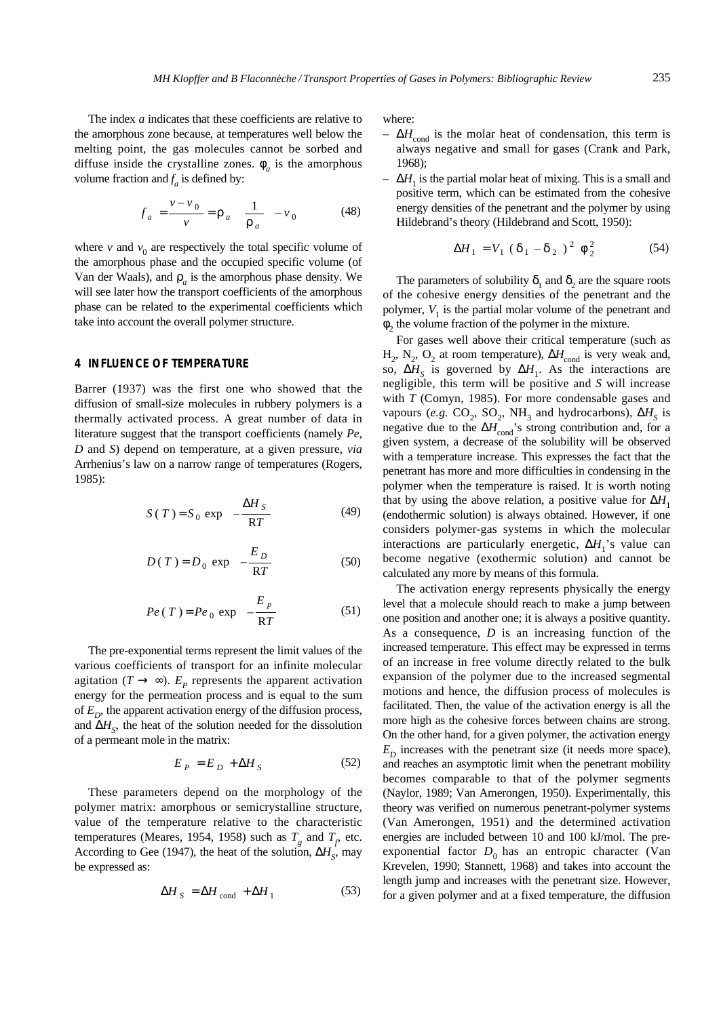The index *a* indicates that these coefficients are relative to the amorphous zone because, at temperatures well below the melting point, the gas molecules cannot be sorbed and diffuse inside the crystalline zones.  $\phi_a$  is the amorphous volume fraction and  $f_a$  is defined by:

$$
f_a = \frac{v - v_0}{v} = \rho_a \left(\frac{1}{\rho_a}\right) - v_0 \tag{48}
$$

where  $v$  and  $v_0$  are respectively the total specific volume of the amorphous phase and the occupied specific volume (of Van der Waals), and  $\rho_a$  is the amorphous phase density. We will see later how the transport coefficients of the amorphous phase can be related to the experimental coefficients which take into account the overall polymer structure.

# **4 INFLUENCE OF TEMPERATURE**

Barrer (1937) was the first one who showed that the diffusion of small-size molecules in rubbery polymers is a thermally activated process. A great number of data in literature suggest that the transport coefficients (namely *Pe*, *D* and *S*) depend on temperature, at a given pressure, *via* Arrhenius's law on a narrow range of temperatures (Rogers, 1985):

$$
S(T) = S_0 \exp\left(-\frac{\Delta H_S}{RT}\right) \tag{49}
$$

$$
D(T) = D_0 \exp\left(-\frac{E_D}{RT}\right) \tag{50}
$$

$$
Pe(T) = Pe_0 \exp\left(-\frac{E_p}{RT}\right) \tag{51}
$$

The pre-exponential terms represent the limit values of the various coefficients of transport for an infinite molecular agitation ( $T \rightarrow \infty$ ).  $E_p$  represents the apparent activation energy for the permeation process and is equal to the sum of  $E<sub>D</sub>$ , the apparent activation energy of the diffusion process, and  $\Delta H_s$ , the heat of the solution needed for the dissolution of a permeant mole in the matrix:

$$
E_P = E_D + \Delta H_S \tag{52}
$$

These parameters depend on the morphology of the polymer matrix: amorphous or semicrystalline structure, value of the temperature relative to the characteristic temperatures (Meares, 1954, 1958) such as  $T_g$  and  $T_f$  etc. According to Gee (1947), the heat of the solution,  $\Delta H_s$ , may be expressed as:

$$
\Delta H_S = \Delta H_{\text{cond}} + \Delta H_1 \tag{53}
$$

where:

- $\Delta H_{\text{cond}}$  is the molar heat of condensation, this term is always negative and small for gases (Crank and Park, 1968);
- $-\Delta H_1$  is the partial molar heat of mixing. This is a small and positive term, which can be estimated from the cohesive energy densities of the penetrant and the polymer by using Hildebrand's theory (Hildebrand and Scott, 1950):

$$
\Delta H_1 = V_1 (\delta_1 - \delta_2)^2 \phi_2^2
$$
 (54)

The parameters of solubility  $\delta_1$  and  $\delta_2$  are the square roots of the cohesive energy densities of the penetrant and the polymer,  $V_1$  is the partial molar volume of the penetrant and  $\phi_2$ , the volume fraction of the polymer in the mixture.

For gases well above their critical temperature (such as  $H_2$ , N<sub>2</sub>, O<sub>2</sub> at room temperature),  $\Delta H_{cond}$  is very weak and, so,  $\Delta H_s$  is governed by  $\Delta H_1$ . As the interactions are negligible, this term will be positive and *S* will increase with *T* (Comyn, 1985). For more condensable gases and vapours (*e.g.* CO<sub>2</sub>, SO<sub>2</sub>, NH<sub>3</sub> and hydrocarbons),  $\Delta H_S$  is negative due to the  $\Delta H_{\text{cond}}$ 's strong contribution and, for a given system, a decrease of the solubility will be observed with a temperature increase. This expresses the fact that the penetrant has more and more difficulties in condensing in the polymer when the temperature is raised. It is worth noting that by using the above relation, a positive value for  $\Delta H_1$ (endothermic solution) is always obtained. However, if one considers polymer-gas systems in which the molecular interactions are particularly energetic,  $\Delta H_1$ 's value can become negative (exothermic solution) and cannot be calculated any more by means of this formula.

The activation energy represents physically the energy level that a molecule should reach to make a jump between one position and another one; it is always a positive quantity. As a consequence, *D* is an increasing function of the increased temperature. This effect may be expressed in terms of an increase in free volume directly related to the bulk expansion of the polymer due to the increased segmental motions and hence, the diffusion process of molecules is facilitated. Then, the value of the activation energy is all the more high as the cohesive forces between chains are strong. On the other hand, for a given polymer, the activation energy  $E<sub>D</sub>$  increases with the penetrant size (it needs more space), and reaches an asymptotic limit when the penetrant mobility becomes comparable to that of the polymer segments (Naylor, 1989; Van Amerongen, 1950). Experimentally, this theory was verified on numerous penetrant-polymer systems (Van Amerongen, 1951) and the determined activation energies are included between 10 and 100 kJ/mol. The preexponential factor  $D_0$  has an entropic character (Van Krevelen, 1990; Stannett, 1968) and takes into account the length jump and increases with the penetrant size. However, for a given polymer and at a fixed temperature, the diffusion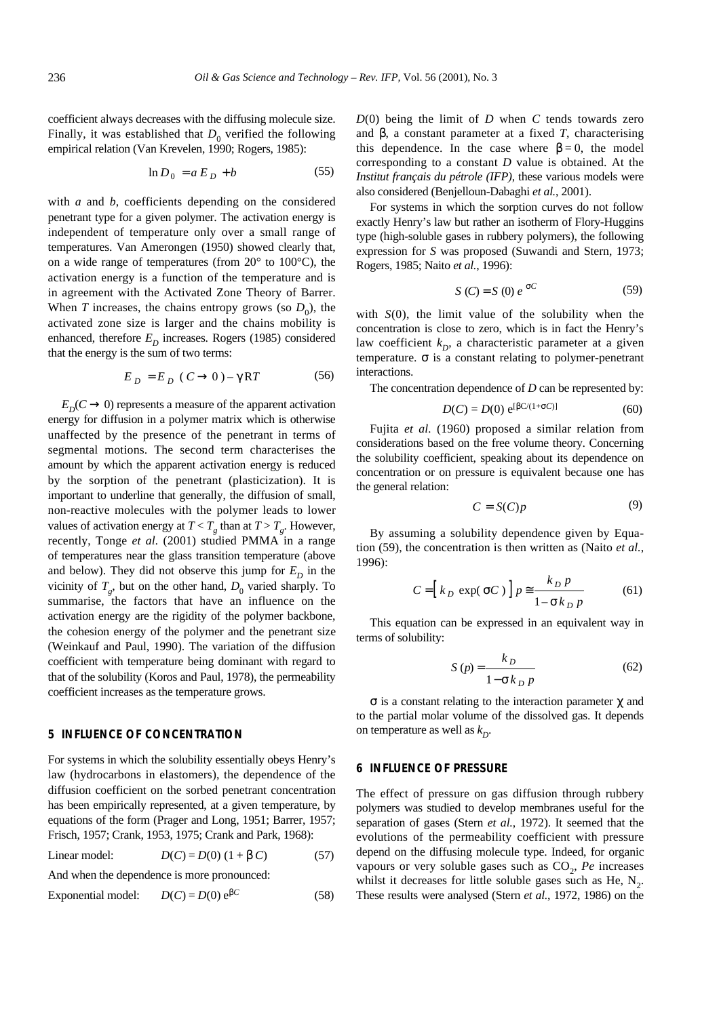coefficient always decreases with the diffusing molecule size. Finally, it was established that  $D_0$  verified the following empirical relation (Van Krevelen, 1990; Rogers, 1985):

$$
\ln D_0 = a E_D + b \tag{55}
$$

with *a* and *b*, coefficients depending on the considered penetrant type for a given polymer. The activation energy is independent of temperature only over a small range of temperatures. Van Amerongen (1950) showed clearly that, on a wide range of temperatures (from  $20^{\circ}$  to  $100^{\circ}$ C), the activation energy is a function of the temperature and is in agreement with the Activated Zone Theory of Barrer. When *T* increases, the chains entropy grows (so  $D_0$ ), the activated zone size is larger and the chains mobility is enhanced, therefore  $E<sub>D</sub>$  increases. Rogers (1985) considered that the energy is the sum of two terms:

$$
E_D = E_D (C \rightarrow 0) - \gamma RT \tag{56}
$$

 $E_D(C \rightarrow 0)$  represents a measure of the apparent activation energy for diffusion in a polymer matrix which is otherwise unaffected by the presence of the penetrant in terms of segmental motions. The second term characterises the amount by which the apparent activation energy is reduced by the sorption of the penetrant (plasticization). It is important to underline that generally, the diffusion of small, non-reactive molecules with the polymer leads to lower values of activation energy at  $T < T_g$  than at  $T > T_g$ . However, recently, Tonge *et al.* (2001) studied PMMA in a range of temperatures near the glass transition temperature (above and below). They did not observe this jump for  $E<sub>D</sub>$  in the vicinity of  $T_g$ , but on the other hand,  $D_0$  varied sharply. To summarise, the factors that have an influence on the activation energy are the rigidity of the polymer backbone, the cohesion energy of the polymer and the penetrant size (Weinkauf and Paul, 1990). The variation of the diffusion coefficient with temperature being dominant with regard to that of the solubility (Koros and Paul, 1978), the permeability coefficient increases as the temperature grows.

## **5 INFLUENCE OF CONCENTRATION**

For systems in which the solubility essentially obeys Henry's law (hydrocarbons in elastomers), the dependence of the diffusion coefficient on the sorbed penetrant concentration has been empirically represented, at a given temperature, by equations of the form (Prager and Long, 1951; Barrer, 1957; Frisch, 1957; Crank, 1953, 1975; Crank and Park, 1968):

$$
Linear model: \t\t D(C) = D(0) (1 + \beta C) \t\t (57)
$$

And when the dependence is more pronounced:

Exponential model: 
$$
D(C) = D(0) e^{\beta C}
$$
 (58)

*D*(0) being the limit of *D* when *C* tends towards zero and β, a constant parameter at a fixed  $T$ , characterising this dependence. In the case where  $\beta = 0$ , the model corresponding to a constant *D* value is obtained. At the *Institut français du pétrole (IFP)*, these various models were also considered (Benjelloun-Dabaghi *et al.*, 2001).

For systems in which the sorption curves do not follow exactly Henry's law but rather an isotherm of Flory-Huggins type (high-soluble gases in rubbery polymers), the following expression for *S* was proposed (Suwandi and Stern, 1973; Rogers, 1985; Naito *et al.*, 1996):

$$
S(C) = S(0) e^{\sigma C}
$$
 (59)

with *S*(0), the limit value of the solubility when the concentration is close to zero, which is in fact the Henry's law coefficient  $k_D$ , a characteristic parameter at a given temperature.  $\sigma$  is a constant relating to polymer-penetrant interactions.

The concentration dependence of *D* can be represented by:

$$
D(C) = D(0) e^{[\beta C/(1+\sigma C)]} \tag{60}
$$

Fujita *et al.* (1960) proposed a similar relation from considerations based on the free volume theory. Concerning the solubility coefficient, speaking about its dependence on concentration or on pressure is equivalent because one has the general relation:

$$
C = S(C)p \tag{9}
$$

By assuming a solubility dependence given by Equation (59), the concentration is then written as (Naito *et al.*, 1996):

$$
C = [k_D \exp(\sigma C)] p \approx \frac{k_D p}{1 - \sigma k_D p}
$$
 (61)

This equation can be expressed in an equivalent way in terms of solubility:

$$
S(p) = \frac{k_D}{1 - \sigma k_D p}
$$
 (62)

σ is a constant relating to the interaction parameter χ and to the partial molar volume of the dissolved gas. It depends on temperature as well as  $k<sub>D</sub>$ .

## **6 INFLUENCE OF PRESSURE**

The effect of pressure on gas diffusion through rubbery polymers was studied to develop membranes useful for the separation of gases (Stern *et al.*, 1972). It seemed that the evolutions of the permeability coefficient with pressure depend on the diffusing molecule type. Indeed, for organic vapours or very soluble gases such as  $CO<sub>2</sub>$ ,  $Pe$  increases whilst it decreases for little soluble gases such as He,  $N_2$ . These results were analysed (Stern *et al.*, 1972, 1986) on the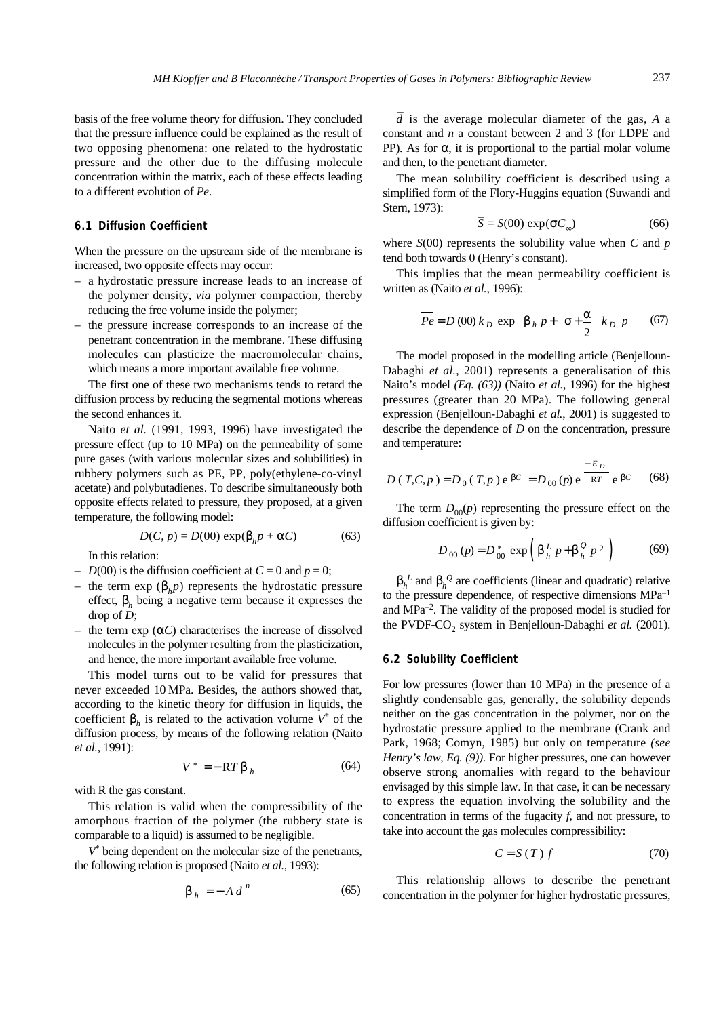basis of the free volume theory for diffusion. They concluded that the pressure influence could be explained as the result of two opposing phenomena: one related to the hydrostatic pressure and the other due to the diffusing molecule concentration within the matrix, each of these effects leading to a different evolution of *Pe*.

## **6.1 Diffusion Coefficient**

When the pressure on the upstream side of the membrane is increased, two opposite effects may occur:

- a hydrostatic pressure increase leads to an increase of the polymer density, *via* polymer compaction, thereby reducing the free volume inside the polymer;
- the pressure increase corresponds to an increase of the penetrant concentration in the membrane. These diffusing molecules can plasticize the macromolecular chains, which means a more important available free volume.

The first one of these two mechanisms tends to retard the diffusion process by reducing the segmental motions whereas the second enhances it.

Naito *et al.* (1991, 1993, 1996) have investigated the pressure effect (up to 10 MPa) on the permeability of some pure gases (with various molecular sizes and solubilities) in rubbery polymers such as PE, PP, poly(ethylene-co-vinyl acetate) and polybutadienes. To describe simultaneously both opposite effects related to pressure, they proposed, at a given temperature, the following model:

$$
D(C, p) = D(00) \exp(\beta_h p + \alpha C) \tag{63}
$$

In this relation:

- *D*(00) is the diffusion coefficient at  $C = 0$  and  $p = 0$ ;
- the term exp (β*hp*) represents the hydrostatic pressure effect, β*<sup>h</sup>* being a negative term because it expresses the drop of *D*;
- the term exp (α*C*) characterises the increase of dissolved molecules in the polymer resulting from the plasticization, and hence, the more important available free volume.

This model turns out to be valid for pressures that never exceeded 10 MPa. Besides, the authors showed that, according to the kinetic theory for diffusion in liquids, the coefficient  $\beta_h$  is related to the activation volume  $V^*$  of the diffusion process, by means of the following relation (Naito *et al.*, 1991):

$$
V^* = -RT\beta_h \tag{64}
$$

with R the gas constant.

This relation is valid when the compressibility of the amorphous fraction of the polymer (the rubbery state is comparable to a liquid) is assumed to be negligible.

 $V^*$  being dependent on the molecular size of the penetrants, the following relation is proposed (Naito *et al.*, 1993):

$$
\beta_h = -A \overline{d}^n \tag{65}
$$

 $\overline{d}$  is the average molecular diameter of the gas, *A* a constant and *n* a constant between 2 and 3 (for LDPE and PP). As for  $\alpha$ , it is proportional to the partial molar volume and then, to the penetrant diameter.

The mean solubility coefficient is described using a simplified form of the Flory-Huggins equation (Suwandi and Stern, 1973):

$$
\overline{S} = S(00) \exp(\sigma C_{\infty})
$$
 (66)

where  $S(00)$  represents the solubility value when  $C$  and  $p$ tend both towards 0 (Henry's constant).

This implies that the mean permeability coefficient is written as (Naito *et al.*, 1996):

$$
\overline{Pe} = D(00) k_D \exp\left[\beta_h p + \left(\sigma + \frac{\alpha}{2}\right) k_D p\right] \quad (67)
$$

The model proposed in the modelling article (Benjelloun-Dabaghi *et al.*, 2001) represents a generalisation of this Naito's model *(Eq. (63))* (Naito *et al.*, 1996) for the highest pressures (greater than 20 MPa). The following general expression (Benjelloun-Dabaghi *et al.*, 2001) is suggested to describe the dependence of *D* on the concentration, pressure and temperature:

$$
D(T, C, p) = D_0(T, p) e^{\beta C} = D_{00}(p) e^{-\frac{-E_D}{RT}} e^{\beta C}
$$
 (68)

The term  $D_{00}(p)$  representing the pressure effect on the diffusion coefficient is given by:

$$
D_{00}(p) = D_{00}^* \exp\left(\beta_h^L p + \beta_h^Q p^2\right)
$$
 (69)

 $β<sub>h</sub><sup>L</sup>$  and  $β<sub>h</sub><sup>Q</sup>$  are coefficients (linear and quadratic) relative to the pressure dependence, of respective dimensions MPa–1 and MPa–2. The validity of the proposed model is studied for the PVDF-CO<sub>2</sub> system in Benjelloun-Dabaghi et al. (2001).

#### **6.2 Solubility Coefficient**

For low pressures (lower than 10 MPa) in the presence of a slightly condensable gas, generally, the solubility depends neither on the gas concentration in the polymer, nor on the hydrostatic pressure applied to the membrane (Crank and Park, 1968; Comyn, 1985) but only on temperature *(see Henry's law, Eq. (9))*. For higher pressures, one can however observe strong anomalies with regard to the behaviour envisaged by this simple law. In that case, it can be necessary to express the equation involving the solubility and the concentration in terms of the fugacity *f*, and not pressure, to take into account the gas molecules compressibility:

$$
C = S(T) f \tag{70}
$$

This relationship allows to describe the penetrant concentration in the polymer for higher hydrostatic pressures,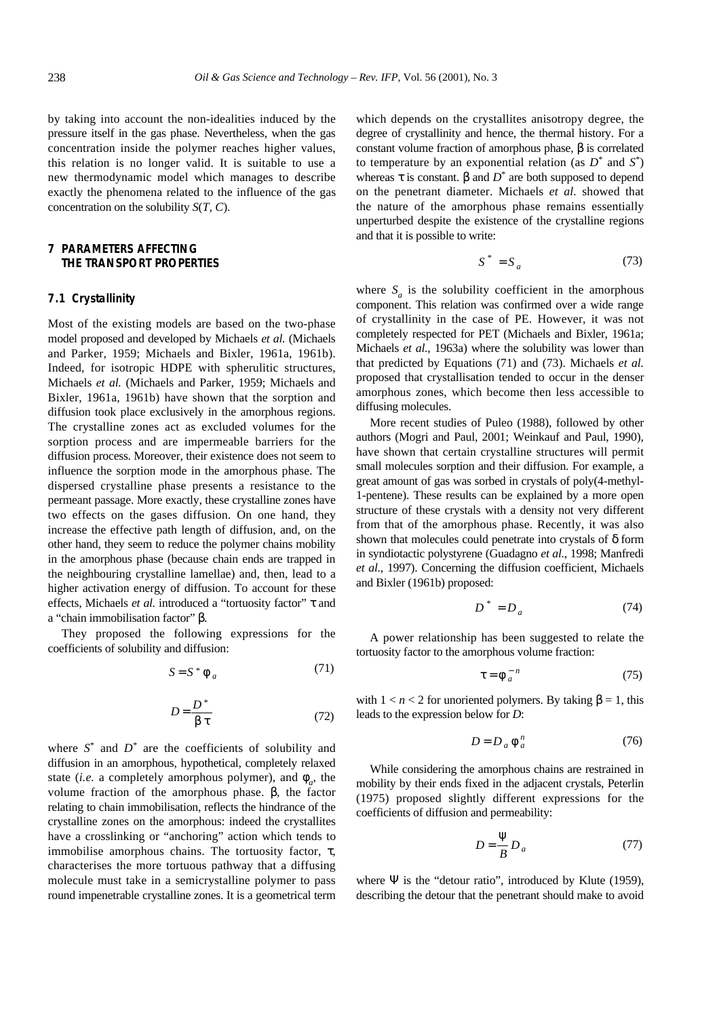by taking into account the non-idealities induced by the pressure itself in the gas phase. Nevertheless, when the gas concentration inside the polymer reaches higher values, this relation is no longer valid. It is suitable to use a new thermodynamic model which manages to describe exactly the phenomena related to the influence of the gas concentration on the solubility *S*(*T, C*).

# **7 PARAMETERS AFFECTING THE TRANSPORT PROPERTIES**

## **7.1 Crystallinity**

Most of the existing models are based on the two-phase model proposed and developed by Michaels *et al.* (Michaels and Parker, 1959; Michaels and Bixler, 1961a, 1961b). Indeed, for isotropic HDPE with spherulitic structures, Michaels *et al.* (Michaels and Parker, 1959; Michaels and Bixler, 1961a, 1961b) have shown that the sorption and diffusion took place exclusively in the amorphous regions. The crystalline zones act as excluded volumes for the sorption process and are impermeable barriers for the diffusion process. Moreover, their existence does not seem to influence the sorption mode in the amorphous phase. The dispersed crystalline phase presents a resistance to the permeant passage. More exactly, these crystalline zones have two effects on the gases diffusion. On one hand, they increase the effective path length of diffusion, and, on the other hand, they seem to reduce the polymer chains mobility in the amorphous phase (because chain ends are trapped in the neighbouring crystalline lamellae) and, then, lead to a higher activation energy of diffusion. To account for these effects, Michaels *et al.* introduced a "tortuosity factor" τ and a "chain immobilisation factor" β.

They proposed the following expressions for the coefficients of solubility and diffusion:

$$
S = S^* \phi_a \tag{71}
$$

$$
D = \frac{D^*}{\beta \tau} \tag{72}
$$

where  $S^*$  and  $D^*$  are the coefficients of solubility and diffusion in an amorphous, hypothetical, completely relaxed state (*i.e.* a completely amorphous polymer), and  $\phi_a$ , the volume fraction of the amorphous phase. β, the factor relating to chain immobilisation, reflects the hindrance of the crystalline zones on the amorphous: indeed the crystallites have a crosslinking or "anchoring" action which tends to immobilise amorphous chains. The tortuosity factor,  $\tau$ , characterises the more tortuous pathway that a diffusing molecule must take in a semicrystalline polymer to pass round impenetrable crystalline zones. It is a geometrical term which depends on the crystallites anisotropy degree, the degree of crystallinity and hence, the thermal history. For a constant volume fraction of amorphous phase, β is correlated to temperature by an exponential relation (as  $D^*$  and  $S^*$ ) whereas τ is constant. β and  $D^*$  are both supposed to depend on the penetrant diameter. Michaels *et al.* showed that the nature of the amorphous phase remains essentially unperturbed despite the existence of the crystalline regions and that it is possible to write:

$$
S^* = S_a \tag{73}
$$

where  $S_a$  is the solubility coefficient in the amorphous component. This relation was confirmed over a wide range of crystallinity in the case of PE. However, it was not completely respected for PET (Michaels and Bixler, 1961a; Michaels *et al.*, 1963a) where the solubility was lower than that predicted by Equations (71) and (73). Michaels *et al.* proposed that crystallisation tended to occur in the denser amorphous zones, which become then less accessible to diffusing molecules.

More recent studies of Puleo (1988), followed by other authors (Mogri and Paul, 2001; Weinkauf and Paul, 1990), have shown that certain crystalline structures will permit small molecules sorption and their diffusion. For example, a great amount of gas was sorbed in crystals of poly(4-methyl-1-pentene). These results can be explained by a more open structure of these crystals with a density not very different from that of the amorphous phase. Recently, it was also shown that molecules could penetrate into crystals of  $\delta$  form in syndiotactic polystyrene (Guadagno *et al.*, 1998; Manfredi *et al.*, 1997). Concerning the diffusion coefficient, Michaels and Bixler (1961b) proposed:

$$
D^* = D_a \tag{74}
$$

A power relationship has been suggested to relate the tortuosity factor to the amorphous volume fraction:

$$
\tau = \phi_a^{-n} \tag{75}
$$

with  $1 < n < 2$  for unoriented polymers. By taking  $\beta = 1$ , this leads to the expression below for *D*:

$$
D = D_a \phi_a^n \tag{76}
$$

While considering the amorphous chains are restrained in mobility by their ends fixed in the adjacent crystals, Peterlin (1975) proposed slightly different expressions for the coefficients of diffusion and permeability:

$$
D = \frac{\Psi}{B} D_a \tag{77}
$$

where  $\Psi$  is the "detour ratio", introduced by Klute (1959), describing the detour that the penetrant should make to avoid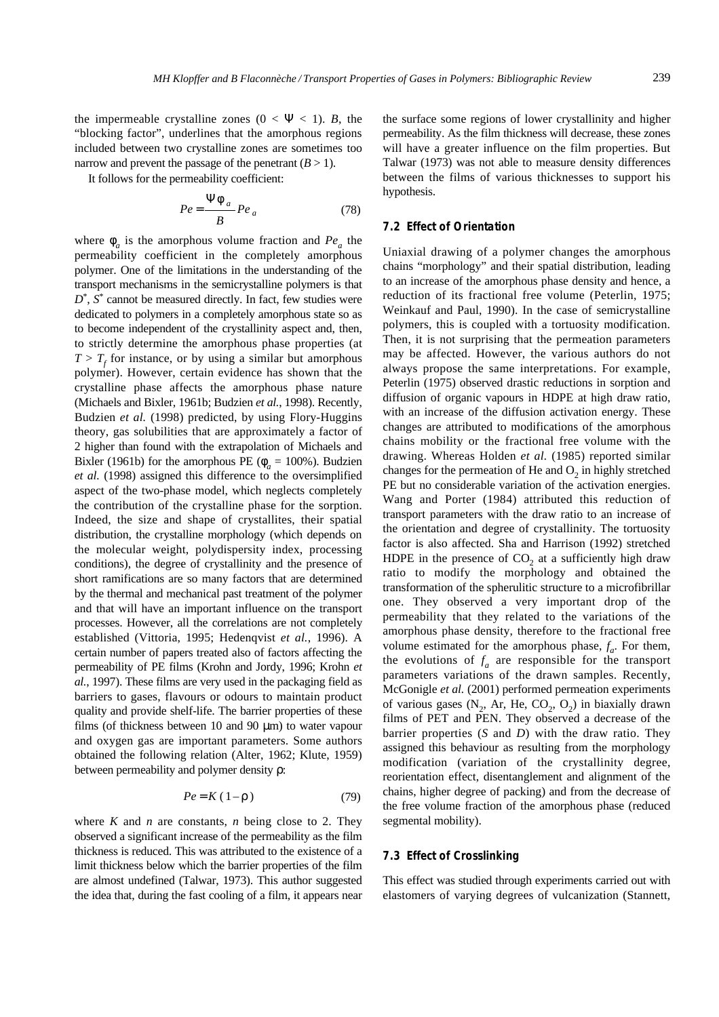the impermeable crystalline zones ( $0 < \Psi < 1$ ). *B*, the "blocking factor", underlines that the amorphous regions included between two crystalline zones are sometimes too narrow and prevent the passage of the penetrant  $(B > 1)$ .

 $\sim$ 

It follows for the permeability coefficient:

$$
Pe = \frac{\Psi \Phi_a}{B} Pe_a \tag{78}
$$

where  $\phi_a$  is the amorphous volume fraction and  $Pe_a$  the permeability coefficient in the completely amorphous polymer. One of the limitations in the understanding of the transport mechanisms in the semicrystalline polymers is that *D*\*, *S*\* cannot be measured directly. In fact, few studies were dedicated to polymers in a completely amorphous state so as to become independent of the crystallinity aspect and, then, to strictly determine the amorphous phase properties (at  $T > T<sub>f</sub>$  for instance, or by using a similar but amorphous polymer). However, certain evidence has shown that the crystalline phase affects the amorphous phase nature (Michaels and Bixler, 1961b; Budzien *et al.*, 1998). Recently, Budzien *et al.* (1998) predicted, by using Flory-Huggins theory, gas solubilities that are approximately a factor of 2 higher than found with the extrapolation of Michaels and Bixler (1961b) for the amorphous PE ( $\phi_a = 100\%$ ). Budzien *et al.* (1998) assigned this difference to the oversimplified aspect of the two-phase model, which neglects completely the contribution of the crystalline phase for the sorption. Indeed, the size and shape of crystallites, their spatial distribution, the crystalline morphology (which depends on the molecular weight, polydispersity index, processing conditions), the degree of crystallinity and the presence of short ramifications are so many factors that are determined by the thermal and mechanical past treatment of the polymer and that will have an important influence on the transport processes. However, all the correlations are not completely established (Vittoria, 1995; Hedenqvist *et al.*, 1996). A certain number of papers treated also of factors affecting the permeability of PE films (Krohn and Jordy, 1996; Krohn *et al.*, 1997). These films are very used in the packaging field as barriers to gases, flavours or odours to maintain product quality and provide shelf-life. The barrier properties of these films (of thickness between 10 and 90 µm) to water vapour and oxygen gas are important parameters. Some authors obtained the following relation (Alter, 1962; Klute, 1959) between permeability and polymer density ρ:

$$
Pe = K (1 - \rho) \tag{79}
$$

where *K* and *n* are constants, *n* being close to 2. They observed a significant increase of the permeability as the film thickness is reduced. This was attributed to the existence of a limit thickness below which the barrier properties of the film are almost undefined (Talwar, 1973). This author suggested the idea that, during the fast cooling of a film, it appears near

the surface some regions of lower crystallinity and higher permeability. As the film thickness will decrease, these zones will have a greater influence on the film properties. But Talwar (1973) was not able to measure density differences between the films of various thicknesses to support his hypothesis.

#### **7.2 Effect of Orientation**

Uniaxial drawing of a polymer changes the amorphous chains "morphology" and their spatial distribution, leading to an increase of the amorphous phase density and hence, a reduction of its fractional free volume (Peterlin, 1975; Weinkauf and Paul, 1990). In the case of semicrystalline polymers, this is coupled with a tortuosity modification. Then, it is not surprising that the permeation parameters may be affected. However, the various authors do not always propose the same interpretations. For example, Peterlin (1975) observed drastic reductions in sorption and diffusion of organic vapours in HDPE at high draw ratio, with an increase of the diffusion activation energy. These changes are attributed to modifications of the amorphous chains mobility or the fractional free volume with the drawing. Whereas Holden *et al.* (1985) reported similar changes for the permeation of He and  $O<sub>2</sub>$  in highly stretched PE but no considerable variation of the activation energies. Wang and Porter (1984) attributed this reduction of transport parameters with the draw ratio to an increase of the orientation and degree of crystallinity. The tortuosity factor is also affected. Sha and Harrison (1992) stretched HDPE in the presence of  $CO<sub>2</sub>$  at a sufficiently high draw ratio to modify the morphology and obtained the transformation of the spherulitic structure to a microfibrillar one. They observed a very important drop of the permeability that they related to the variations of the amorphous phase density, therefore to the fractional free volume estimated for the amorphous phase,  $f_a$ . For them, the evolutions of  $f_a$  are responsible for the transport parameters variations of the drawn samples. Recently, McGonigle *et al.* (2001) performed permeation experiments of various gases  $(N_2, Ar, He, CO_2, O_2)$  in biaxially drawn films of PET and PEN. They observed a decrease of the barrier properties (*S* and *D*) with the draw ratio. They assigned this behaviour as resulting from the morphology modification (variation of the crystallinity degree, reorientation effect, disentanglement and alignment of the chains, higher degree of packing) and from the decrease of the free volume fraction of the amorphous phase (reduced segmental mobility).

# **7.3 Effect of Crosslinking**

This effect was studied through experiments carried out with elastomers of varying degrees of vulcanization (Stannett,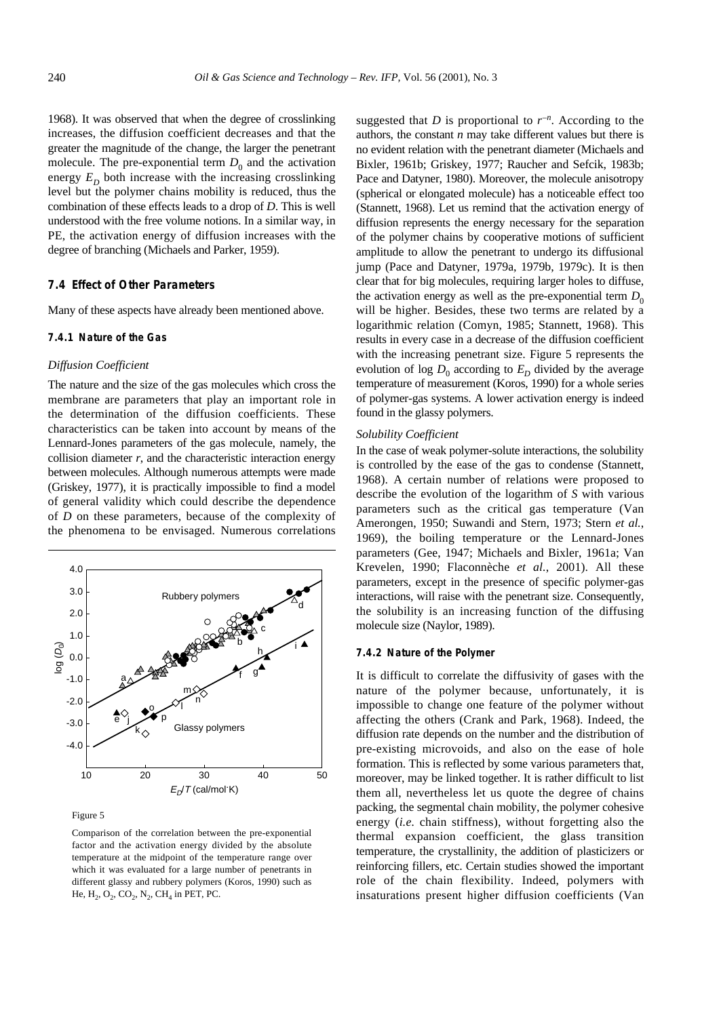1968). It was observed that when the degree of crosslinking increases, the diffusion coefficient decreases and that the greater the magnitude of the change, the larger the penetrant molecule. The pre-exponential term  $D_0$  and the activation energy  $E<sub>D</sub>$  both increase with the increasing crosslinking level but the polymer chains mobility is reduced, thus the combination of these effects leads to a drop of *D*. This is well understood with the free volume notions. In a similar way, in PE, the activation energy of diffusion increases with the degree of branching (Michaels and Parker, 1959).

# **7.4 Effect of Other Parameters**

Many of these aspects have already been mentioned above.

## **7.4.1 Nature of the Gas**

## *Diffusion Coefficient*

The nature and the size of the gas molecules which cross the membrane are parameters that play an important role in the determination of the diffusion coefficients. These characteristics can be taken into account by means of the Lennard-Jones parameters of the gas molecule, namely, the collision diameter  $r$ , and the characteristic interaction energy between molecules. Although numerous attempts were made (Griskey, 1977), it is practically impossible to find a model of general validity which could describe the dependence of *D* on these parameters, because of the complexity of the phenomena to be envisaged. Numerous correlations



Figure 5

Comparison of the correlation between the pre-exponential factor and the activation energy divided by the absolute temperature at the midpoint of the temperature range over which it was evaluated for a large number of penetrants in different glassy and rubbery polymers (Koros, 1990) such as He,  $H_2$ ,  $O_2$ ,  $CO_2$ ,  $N_2$ ,  $CH_4$  in PET, PC.

suggested that *D* is proportional to  $r^{-n}$ . According to the authors, the constant *n* may take different values but there is no evident relation with the penetrant diameter (Michaels and Bixler, 1961b; Griskey, 1977; Raucher and Sefcik, 1983b; Pace and Datyner, 1980). Moreover, the molecule anisotropy (spherical or elongated molecule) has a noticeable effect too (Stannett, 1968). Let us remind that the activation energy of diffusion represents the energy necessary for the separation of the polymer chains by cooperative motions of sufficient amplitude to allow the penetrant to undergo its diffusional jump (Pace and Datyner, 1979a, 1979b, 1979c). It is then clear that for big molecules, requiring larger holes to diffuse, the activation energy as well as the pre-exponential term  $D_0$ will be higher. Besides, these two terms are related by a logarithmic relation (Comyn, 1985; Stannett, 1968). This results in every case in a decrease of the diffusion coefficient with the increasing penetrant size. Figure 5 represents the evolution of log  $D_0$  according to  $E_D$  divided by the average temperature of measurement (Koros, 1990) for a whole series of polymer-gas systems. A lower activation energy is indeed found in the glassy polymers.

#### *Solubility Coefficient*

In the case of weak polymer-solute interactions, the solubility is controlled by the ease of the gas to condense (Stannett, 1968). A certain number of relations were proposed to describe the evolution of the logarithm of *S* with various parameters such as the critical gas temperature (Van Amerongen, 1950; Suwandi and Stern, 1973; Stern *et al.*, 1969), the boiling temperature or the Lennard-Jones parameters (Gee, 1947; Michaels and Bixler, 1961a; Van Krevelen, 1990; Flaconnèche *et al.*, 2001). All these parameters, except in the presence of specific polymer-gas interactions, will raise with the penetrant size. Consequently, the solubility is an increasing function of the diffusing molecule size (Naylor, 1989).

#### **7.4.2 Nature of the Polymer**

It is difficult to correlate the diffusivity of gases with the nature of the polymer because, unfortunately, it is impossible to change one feature of the polymer without affecting the others (Crank and Park, 1968). Indeed, the diffusion rate depends on the number and the distribution of pre-existing microvoids, and also on the ease of hole formation. This is reflected by some various parameters that, moreover, may be linked together. It is rather difficult to list them all, nevertheless let us quote the degree of chains packing, the segmental chain mobility, the polymer cohesive energy (*i.e.* chain stiffness), without forgetting also the thermal expansion coefficient, the glass transition temperature, the crystallinity, the addition of plasticizers or reinforcing fillers, etc. Certain studies showed the important role of the chain flexibility. Indeed, polymers with insaturations present higher diffusion coefficients (Van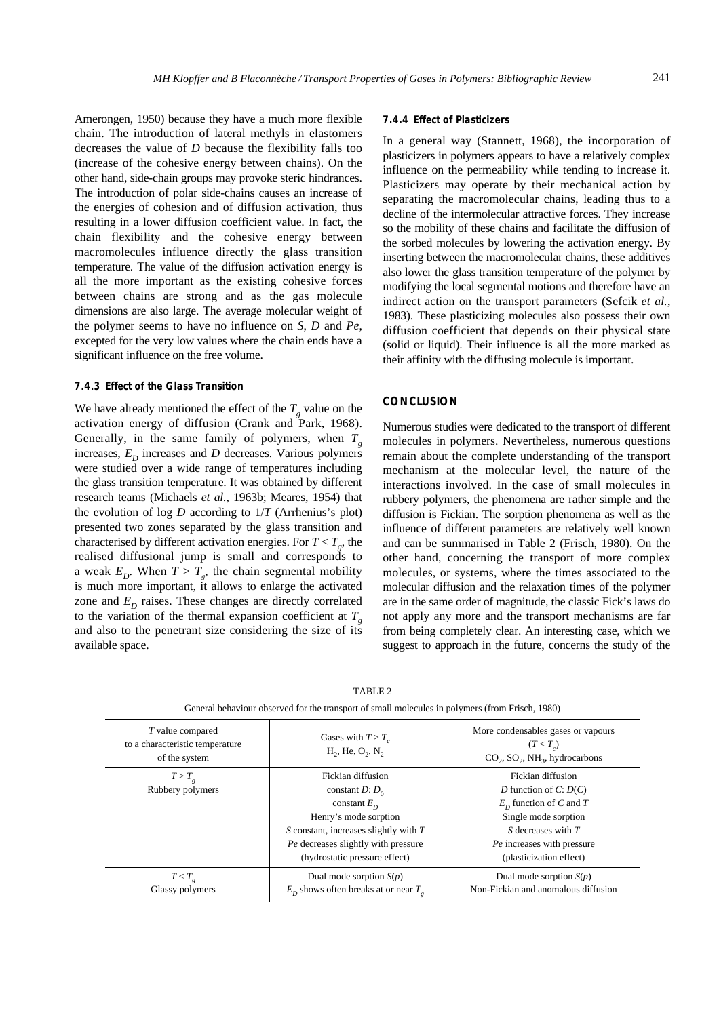Amerongen, 1950) because they have a much more flexible chain. The introduction of lateral methyls in elastomers decreases the value of *D* because the flexibility falls too (increase of the cohesive energy between chains). On the other hand, side-chain groups may provoke steric hindrances. The introduction of polar side-chains causes an increase of the energies of cohesion and of diffusion activation, thus resulting in a lower diffusion coefficient value. In fact, the chain flexibility and the cohesive energy between macromolecules influence directly the glass transition temperature. The value of the diffusion activation energy is all the more important as the existing cohesive forces between chains are strong and as the gas molecule dimensions are also large. The average molecular weight of the polymer seems to have no influence on *S*, *D* and *Pe*, excepted for the very low values where the chain ends have a significant influence on the free volume.

## **7.4.3 Effect of the Glass Transition**

We have already mentioned the effect of the  $T_g$  value on the activation energy of diffusion (Crank and Park, 1968). Generally, in the same family of polymers, when *T g* increases,  $E<sub>D</sub>$  increases and *D* decreases. Various polymers were studied over a wide range of temperatures including the glass transition temperature. It was obtained by different research teams (Michaels *et al.*, 1963b; Meares, 1954) that the evolution of log  $D$  according to  $1/T$  (Arrhenius's plot) presented two zones separated by the glass transition and characterised by different activation energies. For  $T < T_g$ , the realised diffusional jump is small and corresponds to a weak  $E_p$ . When  $T > T_q$ , the chain segmental mobility is much more important, it allows to enlarge the activated zone and  $E<sub>D</sub>$  raises. These changes are directly correlated to the variation of the thermal expansion coefficient at  $T_g$ and also to the penetrant size considering the size of its available space.

#### **7.4.4 Effect of Plasticizers**

In a general way (Stannett, 1968), the incorporation of plasticizers in polymers appears to have a relatively complex influence on the permeability while tending to increase it. Plasticizers may operate by their mechanical action by separating the macromolecular chains, leading thus to a decline of the intermolecular attractive forces. They increase so the mobility of these chains and facilitate the diffusion of the sorbed molecules by lowering the activation energy. By inserting between the macromolecular chains, these additives also lower the glass transition temperature of the polymer by modifying the local segmental motions and therefore have an indirect action on the transport parameters (Sefcik *et al.*, 1983). These plasticizing molecules also possess their own diffusion coefficient that depends on their physical state (solid or liquid). Their influence is all the more marked as their affinity with the diffusing molecule is important.

# **CONCLUSION**

Numerous studies were dedicated to the transport of different molecules in polymers. Nevertheless, numerous questions remain about the complete understanding of the transport mechanism at the molecular level, the nature of the interactions involved. In the case of small molecules in rubbery polymers, the phenomena are rather simple and the diffusion is Fickian. The sorption phenomena as well as the influence of different parameters are relatively well known and can be summarised in Table 2 (Frisch, 1980). On the other hand, concerning the transport of more complex molecules, or systems, where the times associated to the molecular diffusion and the relaxation times of the polymer are in the same order of magnitude, the classic Fick's laws do not apply any more and the transport mechanisms are far from being completely clear. An interesting case, which we suggest to approach in the future, concerns the study of the

| T value compared<br>to a characteristic temperature<br>of the system | Gases with $T > T_c$<br>$H_2$ , He, $O_2$ , N <sub>2</sub>             | More condensables gases or vapours<br>$(T < T_{\circ})$<br>$CO_2$ , $SO_2$ , NH <sub>3</sub> , hydrocarbons |
|----------------------------------------------------------------------|------------------------------------------------------------------------|-------------------------------------------------------------------------------------------------------------|
| $T > T_{\varrho}$                                                    | Fickian diffusion                                                      | Fickian diffusion                                                                                           |
| Rubbery polymers                                                     | constant D: $D_0$                                                      | D function of $C: D(C)$                                                                                     |
|                                                                      | constant $En$                                                          | $E_D$ function of C and T                                                                                   |
|                                                                      | Henry's mode sorption                                                  | Single mode sorption                                                                                        |
|                                                                      | S constant, increases slightly with T                                  | S decreases with T                                                                                          |
|                                                                      | Pe decreases slightly with pressure                                    | Pe increases with pressure                                                                                  |
|                                                                      | (hydrostatic pressure effect)                                          | (plasticization effect)                                                                                     |
| $T < T_{\varrho}$<br>Glassy polymers                                 | Dual mode sorption $S(p)$<br>$E_D$ shows often breaks at or near $T_p$ | Dual mode sorption $S(p)$<br>Non-Fickian and anomalous diffusion                                            |

TABLE 2

General behaviour observed for the transport of small molecules in polymers (from Frisch, 1980)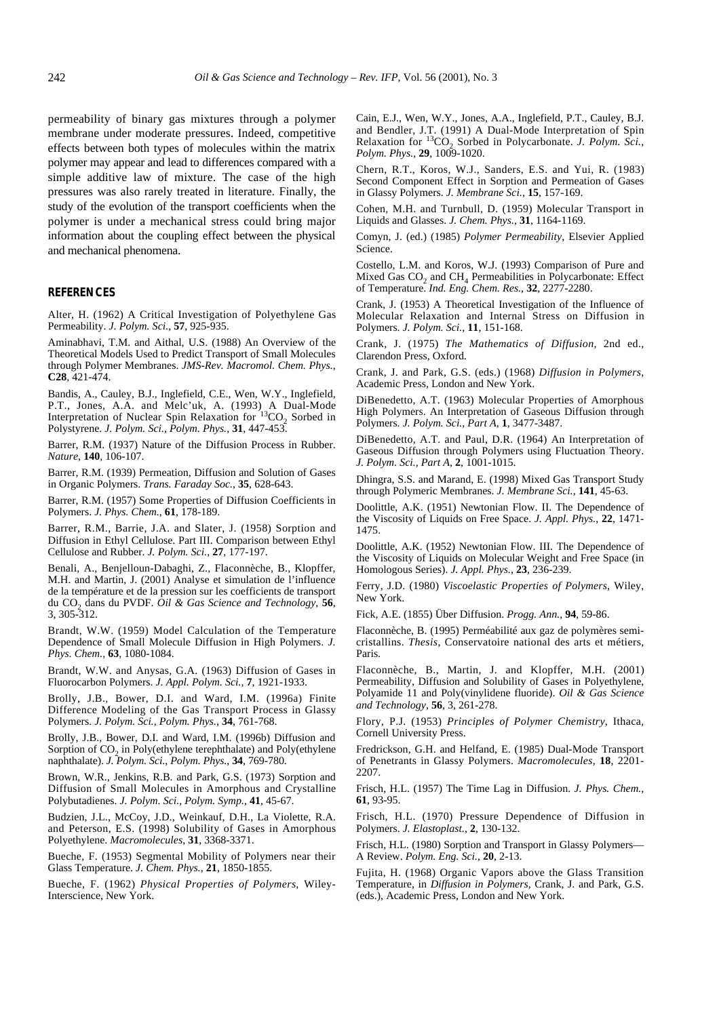permeability of binary gas mixtures through a polymer membrane under moderate pressures. Indeed, competitive effects between both types of molecules within the matrix polymer may appear and lead to differences compared with a simple additive law of mixture. The case of the high pressures was also rarely treated in literature. Finally, the study of the evolution of the transport coefficients when the polymer is under a mechanical stress could bring major information about the coupling effect between the physical and mechanical phenomena.

## **REFERENCES**

Alter, H. (1962) A Critical Investigation of Polyethylene Gas Permeability. *J. Polym. Sci.*, **57**, 925-935.

Aminabhavi, T.M. and Aithal, U.S. (1988) An Overview of the Theoretical Models Used to Predict Transport of Small Molecules through Polymer Membranes. *JMS-Rev. Macromol. Chem. Phys.*, **C28**, 421-474.

Bandis, A., Cauley, B.J., Inglefield, C.E., Wen, W.Y., Inglefield, P.T., Jones, A.A. and Melc'uk, A. (1993) A Dual-Mode Interpretation of Nuclear Spin Relaxation for  ${}^{13}CO_2$  Sorbed in Polystyrene. *J. Polym. Sci., Polym. Phys.*, **31**, 447-453.

Barrer, R.M. (1937) Nature of the Diffusion Process in Rubber. *Nature*, **140**, 106-107.

Barrer, R.M. (1939) Permeation, Diffusion and Solution of Gases in Organic Polymers. *Trans. Faraday Soc.*, **35**, 628-643.

Barrer, R.M. (1957) Some Properties of Diffusion Coefficients in Polymers. *J. Phys. Chem.*, **61**, 178-189.

Barrer, R.M., Barrie, J.A. and Slater, J. (1958) Sorption and Diffusion in Ethyl Cellulose. Part III. Comparison between Ethyl Cellulose and Rubber. *J. Polym. Sci.*, **27**, 177-197.

Benali, A., Benjelloun-Dabaghi, Z., Flaconnèche, B., Klopffer, M.H. and Martin, J. (2001) Analyse et simulation de l'influence de la température et de la pression sur les coefficients de transport du CO2 dans du PVDF. *Oil & Gas Science and Technology*, **56**, 3, 305-312.

Brandt, W.W. (1959) Model Calculation of the Temperature Dependence of Small Molecule Diffusion in High Polymers. *J. Phys. Chem.*, **63**, 1080-1084.

Brandt, W.W. and Anysas, G.A. (1963) Diffusion of Gases in Fluorocarbon Polymers. *J. Appl. Polym. Sci.*, **7**, 1921-1933.

Brolly, J.B., Bower, D.I. and Ward, I.M. (1996a) Finite Difference Modeling of the Gas Transport Process in Glassy Polymers. *J. Polym. Sci.*, *Polym. Phys.*, **34**, 761-768.

Brolly, J.B., Bower, D.I. and Ward, I.M. (1996b) Diffusion and Sorption of CO<sub>2</sub> in Poly(ethylene terephthalate) and Poly(ethylene naphthalate). *J. Polym. Sci.*, *Polym. Phys.*, **34**, 769-780.

Brown, W.R., Jenkins, R.B. and Park, G.S. (1973) Sorption and Diffusion of Small Molecules in Amorphous and Crystalline Polybutadienes. *J. Polym. Sci.*, *Polym. Symp.*, **41**, 45-67.

Budzien, J.L., McCoy, J.D., Weinkauf, D.H., La Violette, R.A. and Peterson, E.S. (1998) Solubility of Gases in Amorphous Polyethylene. *Macromolecules*, **31**, 3368-3371.

Bueche, F. (1953) Segmental Mobility of Polymers near their Glass Temperature. *J. Chem. Phys.*, **21**, 1850-1855.

Bueche, F. (1962) *Physical Properties of Polymers*, Wiley-Interscience, New York.

Cain, E.J., Wen, W.Y., Jones, A.A., Inglefield, P.T., Cauley, B.J. and Bendler, J.T. (1991) A Dual-Mode Interpretation of Spin Relaxation for 13CO2 Sorbed in Polycarbonate. *J. Polym. Sci.*, *Polym. Phys.*, **29**, 1009-1020.

Chern, R.T., Koros, W.J., Sanders, E.S. and Yui, R. (1983) Second Component Effect in Sorption and Permeation of Gases in Glassy Polymers. *J. Membrane Sci.*, **15**, 157-169.

Cohen, M.H. and Turnbull, D. (1959) Molecular Transport in Liquids and Glasses. *J. Chem. Phys.*, **31**, 1164-1169.

Comyn, J. (ed.) (1985) *Polymer Permeability*, Elsevier Applied Science.

Costello, L.M. and Koros, W.J. (1993) Comparison of Pure and Mixed Gas  $CO<sub>2</sub>$  and  $CH<sub>4</sub>$  Permeabilities in Polycarbonate: Effect of Temperature. *Ind. Eng. Chem. Res.*, **32**, 2277-2280.

Crank, J. (1953) A Theoretical Investigation of the Influence of Molecular Relaxation and Internal Stress on Diffusion in Polymers. *J. Polym. Sci.*, **11**, 151-168.

Crank, J. (1975) *The Mathematics of Diffusion*, 2nd ed., Clarendon Press, Oxford.

Crank, J. and Park, G.S. (eds.) (1968) *Diffusion in Polymers*, Academic Press, London and New York.

DiBenedetto, A.T. (1963) Molecular Properties of Amorphous High Polymers. An Interpretation of Gaseous Diffusion through Polymers. *J. Polym. Sci., Part A*, **1**, 3477-3487.

DiBenedetto, A.T. and Paul, D.R. (1964) An Interpretation of Gaseous Diffusion through Polymers using Fluctuation Theory. *J. Polym. Sci., Part A*, **2**, 1001-1015.

Dhingra, S.S. and Marand, E. (1998) Mixed Gas Transport Study through Polymeric Membranes. *J. Membrane Sci.*, **141**, 45-63.

Doolittle, A.K. (1951) Newtonian Flow. II. The Dependence of the Viscosity of Liquids on Free Space. *J. Appl. Phys.*, **22**, 1471- 1475.

Doolittle, A.K. (1952) Newtonian Flow. III. The Dependence of the Viscosity of Liquids on Molecular Weight and Free Space (in Homologous Series). *J. Appl. Phys.*, **23**, 236-239.

Ferry, J.D. (1980) *Viscoelastic Properties of Polymers*, Wiley, New York.

Fick, A.E. (1855) Über Diffusion. *Progg. Ann.*, **94**, 59-86.

Flaconnèche, B. (1995) Perméabilité aux gaz de polymères semicristallins. *Thesis*, Conservatoire national des arts et métiers, Paris.

Flaconnèche, B., Martin, J. and Klopffer, M.H. (2001) Permeability, Diffusion and Solubility of Gases in Polyethylene, Polyamide 11 and Poly(vinylidene fluoride). *Oil & Gas Science and Technology*, **56**, 3, 261-278.

Flory, P.J. (1953) *Principles of Polymer Chemistry*, Ithaca, Cornell University Press.

Fredrickson, G.H. and Helfand, E. (1985) Dual-Mode Transport of Penetrants in Glassy Polymers. *Macromolecules*, **18**, 2201- 2207.

Frisch, H.L. (1957) The Time Lag in Diffusion. *J. Phys. Chem.*, **61**, 93-95.

Frisch, H.L. (1970) Pressure Dependence of Diffusion in Polymers. *J. Elastoplast.*, **2**, 130-132.

Frisch, H.L. (1980) Sorption and Transport in Glassy Polymers— A Review. *Polym. Eng. Sci.*, **20**, 2-13.

Fujita, H. (1968) Organic Vapors above the Glass Transition Temperature, in *Diffusion in Polymers*, Crank, J. and Park, G.S. (eds.), Academic Press, London and New York.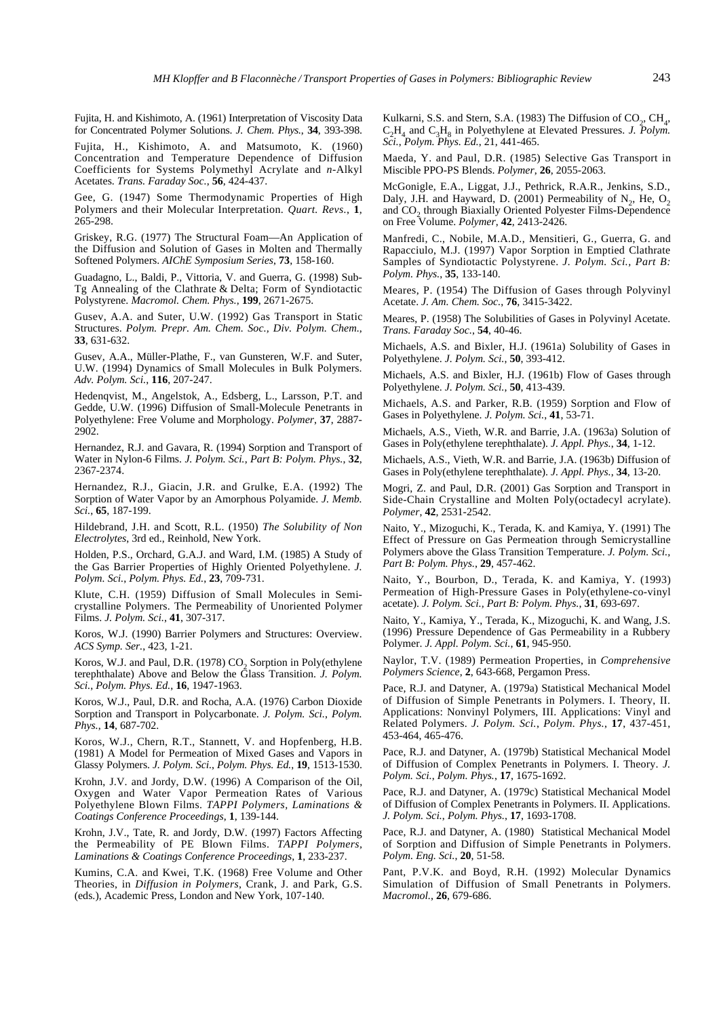Fujita, H. and Kishimoto, A. (1961) Interpretation of Viscosity Data for Concentrated Polymer Solutions. *J. Chem. Phys.*, **34**, 393-398.

Fujita, H., Kishimoto, A. and Matsumoto, K. (1960) Concentration and Temperature Dependence of Diffusion Coefficients for Systems Polymethyl Acrylate and *n*-Alkyl Acetates. *Trans. Faraday Soc.*, **56**, 424-437.

Gee, G. (1947) Some Thermodynamic Properties of High Polymers and their Molecular Interpretation. *Quart. Revs.*, **1**, 265-298.

Griskey, R.G. (1977) The Structural Foam—An Application of the Diffusion and Solution of Gases in Molten and Thermally Softened Polymers. *AIChE Symposium Series*, **73**, 158-160.

Guadagno, L., Baldi, P., Vittoria, V. and Guerra, G. (1998) Sub-Tg Annealing of the Clathrate & Delta; Form of Syndiotactic Polystyrene. *Macromol. Chem. Phys.*, **199**, 2671-2675.

Gusev, A.A. and Suter, U.W. (1992) Gas Transport in Static Structures. *Polym. Prepr. Am. Chem. Soc., Div. Polym. Chem.*, **33**, 631-632.

Gusev, A.A., Müller-Plathe, F., van Gunsteren, W.F. and Suter, U.W. (1994) Dynamics of Small Molecules in Bulk Polymers. *Adv. Polym. Sci.*, **116**, 207-247.

Hedenqvist, M., Angelstok, A., Edsberg, L., Larsson, P.T. and Gedde, U.W. (1996) Diffusion of Small-Molecule Penetrants in Polyethylene: Free Volume and Morphology. *Polymer*, **37**, 2887- 2902.

Hernandez, R.J. and Gavara, R. (1994) Sorption and Transport of Water in Nylon-6 Films. *J. Polym. Sci.*, *Part B: Polym. Phys.*, **32**, 2367-2374.

Hernandez, R.J., Giacin, J.R. and Grulke, E.A. (1992) The Sorption of Water Vapor by an Amorphous Polyamide. *J. Memb. Sci.*, **65**, 187-199.

Hildebrand, J.H. and Scott, R.L. (1950) *The Solubility of Non Electrolytes*, 3rd ed., Reinhold, New York.

Holden, P.S., Orchard, G.A.J. and Ward, I.M. (1985) A Study of the Gas Barrier Properties of Highly Oriented Polyethylene. *J. Polym. Sci.*, *Polym. Phys. Ed.*, **23**, 709-731.

Klute, C.H. (1959) Diffusion of Small Molecules in Semicrystalline Polymers. The Permeability of Unoriented Polymer Films. *J. Polym. Sci.*, **41**, 307-317.

Koros, W.J. (1990) Barrier Polymers and Structures: Overview. *ACS Symp. Ser.*, 423, 1-21.

Koros, W.J. and Paul, D.R. (1978) CO<sub>2</sub> Sorption in Poly(ethylene terephthalate) Above and Below the Glass Transition. *J. Polym. Sci.*, *Polym. Phys. Ed.*, **16**, 1947-1963.

Koros, W.J., Paul, D.R. and Rocha, A.A. (1976) Carbon Dioxide Sorption and Transport in Polycarbonate. *J. Polym. Sci.*, *Polym. Phys.*, **14**, 687-702.

Koros, W.J., Chern, R.T., Stannett, V. and Hopfenberg, H.B. (1981) A Model for Permeation of Mixed Gases and Vapors in Glassy Polymers. *J. Polym. Sci.*, *Polym. Phys. Ed.*, **19**, 1513-1530.

Krohn, J.V. and Jordy, D.W. (1996) A Comparison of the Oil, Oxygen and Water Vapor Permeation Rates of Various Polyethylene Blown Films. *TAPPI Polymers, Laminations & Coatings Conference Proceedings*, **1**, 139-144.

Krohn, J.V., Tate, R. and Jordy, D.W. (1997) Factors Affecting the Permeability of PE Blown Films. *TAPPI Polymers, Laminations & Coatings Conference Proceedings*, **1**, 233-237.

Kumins, C.A. and Kwei, T.K. (1968) Free Volume and Other Theories, in *Diffusion in Polymers*, Crank, J. and Park, G.S. (eds.), Academic Press, London and New York, 107-140.

Kulkarni, S.S. and Stern, S.A. (1983) The Diffusion of  $CO<sub>2</sub>$ ,  $CH<sub>4</sub>$ ,  $C_2H_4$  and  $C_3H_8$  in Polyethylene at Elevated Pressures. *J. Polym. Sci.*, *Polym. Phys. Ed.*, 21, 441-465.

Maeda, Y. and Paul, D.R. (1985) Selective Gas Transport in Miscible PPO-PS Blends. *Polymer*, **26**, 2055-2063.

McGonigle, E.A., Liggat, J.J., Pethrick, R.A.R., Jenkins, S.D., Daly, J.H. and Hayward, D. (2001) Permeability of  $N_2$ , He,  $O_2$ and CO<sub>2</sub> through Biaxially Oriented Polyester Films-Dependence on Free Volume. *Polymer*, **42**, 2413-2426.

Manfredi, C., Nobile, M.A.D., Mensitieri, G., Guerra, G. and Rapacciulo, M.J. (1997) Vapor Sorption in Emptied Clathrate Samples of Syndiotactic Polystyrene. *J. Polym. Sci., Part B: Polym. Phys.*, **35**, 133-140.

Meares, P. (1954) The Diffusion of Gases through Polyvinyl Acetate. *J. Am. Chem. Soc.*, **76**, 3415-3422.

Meares, P. (1958) The Solubilities of Gases in Polyvinyl Acetate. *Trans. Faraday Soc.*, **54**, 40-46.

Michaels, A.S. and Bixler, H.J. (1961a) Solubility of Gases in Polyethylene. *J. Polym. Sci.*, **50**, 393-412.

Michaels, A.S. and Bixler, H.J. (1961b) Flow of Gases through Polyethylene. *J. Polym. Sci.*, **50**, 413-439.

Michaels, A.S. and Parker, R.B. (1959) Sorption and Flow of Gases in Polyethylene. *J. Polym. Sci.*, **41**, 53-71.

Michaels, A.S., Vieth, W.R. and Barrie, J.A. (1963a) Solution of Gases in Poly(ethylene terephthalate). *J. Appl. Phys.*, **34**, 1-12.

Michaels, A.S., Vieth, W.R. and Barrie, J.A. (1963b) Diffusion of Gases in Poly(ethylene terephthalate). *J. Appl. Phys.*, **34**, 13-20.

Mogri, Z. and Paul, D.R. (2001) Gas Sorption and Transport in Side-Chain Crystalline and Molten Poly(octadecyl acrylate). *Polymer*, **42**, 2531-2542.

Naito, Y., Mizoguchi, K., Terada, K. and Kamiya, Y. (1991) The Effect of Pressure on Gas Permeation through Semicrystalline Polymers above the Glass Transition Temperature. *J. Polym. Sci., Part B: Polym. Phys.*, **29**, 457-462.

Naito, Y., Bourbon, D., Terada, K. and Kamiya, Y. (1993) Permeation of High-Pressure Gases in Poly(ethylene-co-vinyl acetate). *J. Polym. Sci., Part B: Polym. Phys.*, **31**, 693-697.

Naito, Y., Kamiya, Y., Terada, K., Mizoguchi, K. and Wang, J.S. (1996) Pressure Dependence of Gas Permeability in a Rubbery Polymer. *J. Appl. Polym. Sci.*, **61**, 945-950.

Naylor, T.V. (1989) Permeation Properties, in *Comprehensive Polymers Science*, **2**, 643-668, Pergamon Press.

Pace, R.J. and Datyner, A. (1979a) Statistical Mechanical Model of Diffusion of Simple Penetrants in Polymers. I. Theory, II. Applications: Nonvinyl Polymers, III. Applications: Vinyl and Related Polymers. *J. Polym. Sci.*, *Polym. Phys.*, **17**, 437-451, 453-464, 465-476.

Pace, R.J. and Datyner, A. (1979b) Statistical Mechanical Model of Diffusion of Complex Penetrants in Polymers. I. Theory. *J. Polym. Sci.*, *Polym. Phys.*, **17**, 1675-1692.

Pace, R.J. and Datyner, A. (1979c) Statistical Mechanical Model of Diffusion of Complex Penetrants in Polymers. II. Applications. *J. Polym. Sci.*, *Polym. Phys.*, **17**, 1693-1708.

Pace, R.J. and Datyner, A. (1980) Statistical Mechanical Model of Sorption and Diffusion of Simple Penetrants in Polymers. *Polym. Eng. Sci.*, **20**, 51-58.

Pant, P.V.K. and Boyd, R.H. (1992) Molecular Dynamics Simulation of Diffusion of Small Penetrants in Polymers. *Macromol.*, **26**, 679-686.